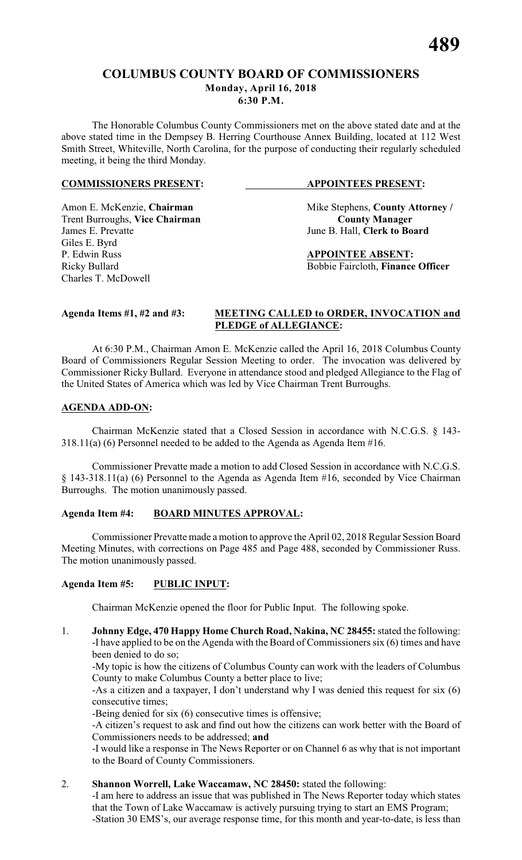The Honorable Columbus County Commissioners met on the above stated date and at the above stated time in the Dempsey B. Herring Courthouse Annex Building, located at 112 West Smith Street, Whiteville, North Carolina, for the purpose of conducting their regularly scheduled meeting, it being the third Monday.

#### **COMMISSIONERS PRESENT: APPOINTEES PRESENT:**

# **Trent Burroughs, Vice Chairman**<br>James E. Prevatte

Amon E. McKenzie, **Chairman** Mike Stephens, **County Attorney** / **Trent Burroughs, Vice Chairman County Manager** June B. Hall, **Clerk to Board** 

P. Edwin Russ **APPOINTEE ABSENT:** Ricky Bullard Bobbie Faircloth, **Finance Officer**

Giles E. Byrd

Charles T. McDowell

#### **Agenda Items #1, #2 and #3: MEETING CALLED to ORDER, INVOCATION and PLEDGE of ALLEGIANCE:**

At 6:30 P.M., Chairman Amon E. McKenzie called the April 16, 2018 Columbus County Board of Commissioners Regular Session Meeting to order. The invocation was delivered by Commissioner Ricky Bullard. Everyone in attendance stood and pledged Allegiance to the Flag of the United States of America which was led by Vice Chairman Trent Burroughs.

#### **AGENDA ADD-ON:**

Chairman McKenzie stated that a Closed Session in accordance with N.C.G.S. § 143- 318.11(a) (6) Personnel needed to be added to the Agenda as Agenda Item #16.

Commissioner Prevatte made a motion to add Closed Session in accordance with N.C.G.S. § 143-318.11(a) (6) Personnel to the Agenda as Agenda Item #16, seconded by Vice Chairman Burroughs. The motion unanimously passed.

### **Agenda Item #4: BOARD MINUTES APPROVAL:**

Commissioner Prevatte made a motion to approve the April 02, 2018 Regular Session Board Meeting Minutes, with corrections on Page 485 and Page 488, seconded by Commissioner Russ. The motion unanimously passed.

#### **Agenda Item #5: PUBLIC INPUT:**

Chairman McKenzie opened the floor for Public Input. The following spoke.

1. **Johnny Edge, 470 Happy Home Church Road, Nakina, NC 28455:** stated the following: -I have applied to be on the Agenda with the Board of Commissioners six (6) times and have been denied to do so;

-My topic is how the citizens of Columbus County can work with the leaders of Columbus County to make Columbus County a better place to live;

-As a citizen and a taxpayer, I don't understand why I was denied this request for six (6) consecutive times;

-Being denied for six (6) consecutive times is offensive;

-A citizen's request to ask and find out how the citizens can work better with the Board of Commissioners needs to be addressed; **and**

-I would like a response in The News Reporter or on Channel 6 as why that is not important to the Board of County Commissioners.

#### 2. **Shannon Worrell, Lake Waccamaw, NC 28450:** stated the following:

-I am here to address an issue that was published in The News Reporter today which states that the Town of Lake Waccamaw is actively pursuing trying to start an EMS Program; -Station 30 EMS's, our average response time, for this month and year-to-date, is less than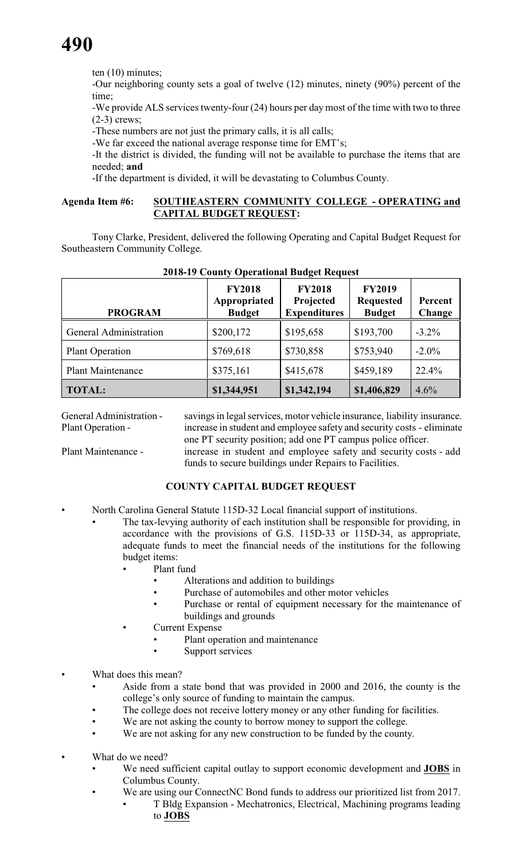ten (10) minutes;

-Our neighboring county sets a goal of twelve (12) minutes, ninety (90%) percent of the time;

-We provide ALS services twenty-four (24) hours per day most of the time with two to three (2-3) crews;

-These numbers are not just the primary calls, it is all calls;

-We far exceed the national average response time for EMT's;

-It the district is divided, the funding will not be available to purchase the items that are needed; **and**

-If the department is divided, it will be devastating to Columbus County.

#### **Agenda Item #6: SOUTHEASTERN COMMUNITY COLLEGE - OPERATING and CAPITAL BUDGET REQUEST:**

Tony Clarke, President, delivered the following Operating and Capital Budget Request for Southeastern Community College.

| <b>PROGRAM</b>           | <b>FY2018</b><br>Appropriated<br><b>Budget</b> | <b>FY2018</b><br>Projected<br><b>Expenditures</b> | <b>FY2019</b><br><b>Requested</b><br><b>Budget</b> | Percent<br>Change |
|--------------------------|------------------------------------------------|---------------------------------------------------|----------------------------------------------------|-------------------|
| General Administration   | \$200,172                                      | \$195,658                                         | \$193,700                                          | $-3.2\%$          |
| <b>Plant Operation</b>   | \$769,618                                      | \$730,858                                         | \$753,940                                          | $-2.0\%$          |
| <b>Plant Maintenance</b> | \$375,161                                      | \$415,678                                         | \$459,189                                          | 22.4%             |
| <b>TOTAL:</b>            | \$1,344,951                                    | \$1,342,194                                       | \$1,406,829                                        | 4.6%              |

#### **2018-19 County Operational Budget Request**

General Administration - savings in legal services, motor vehicle insurance, liability insurance. Plant Operation - increase in student and employee safety and security costs - eliminate one PT security position; add one PT campus police officer.

Plant Maintenance - increase in student and employee safety and security costs - add funds to secure buildings under Repairs to Facilities.

#### **COUNTY CAPITAL BUDGET REQUEST**

- North Carolina General Statute 115D-32 Local financial support of institutions.
	- The tax-levying authority of each institution shall be responsible for providing, in accordance with the provisions of G.S. 115D-33 or 115D-34, as appropriate, adequate funds to meet the financial needs of the institutions for the following budget items:
		- Plant fund
			- Alterations and addition to buildings
			- Purchase of automobiles and other motor vehicles
			- Purchase or rental of equipment necessary for the maintenance of buildings and grounds
		- **Current Expense** 
			- Plant operation and maintenance
				- Support services
- What does this mean?
	- Aside from a state bond that was provided in 2000 and 2016, the county is the college's only source of funding to maintain the campus.
	- The college does not receive lottery money or any other funding for facilities.
	- We are not asking the county to borrow money to support the college.
	- We are not asking for any new construction to be funded by the county.
	- What do we need?
		- We need sufficient capital outlay to support economic development and **JOBS** in Columbus County.
		- We are using our ConnectNC Bond funds to address our prioritized list from 2017.
			- T Bldg Expansion Mechatronics, Electrical, Machining programs leading to **JOBS**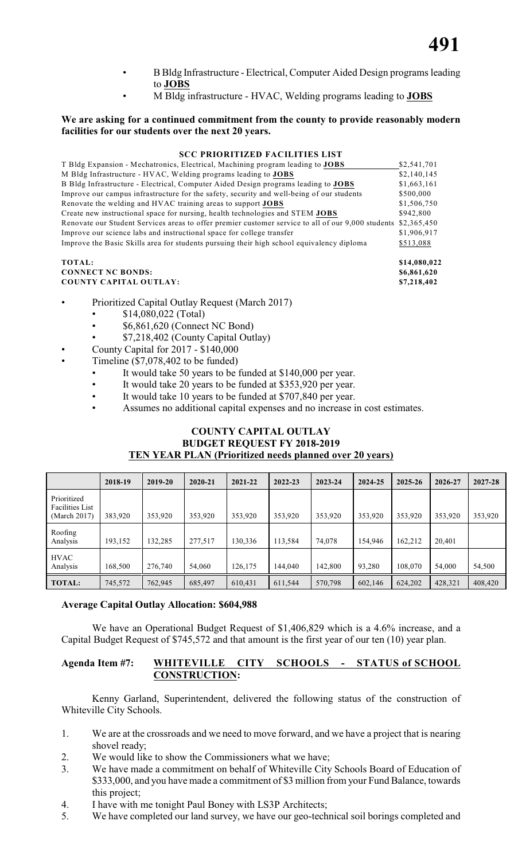- B Bldg Infrastructure Electrical, Computer Aided Design programs leading to **JOBS**
- M Bldg infrastructure HVAC, Welding programs leading to **JOBS**

#### **We are asking for a continued commitment from the county to provide reasonably modern facilities for our students over the next 20 years.**

#### **SCC PRIORITIZED FACILITIES LIST**

| T Bldg Expansion - Mechatronics, Electrical, Machining program leading to JOBS                     | \$2,541,701  |
|----------------------------------------------------------------------------------------------------|--------------|
| M Bldg Infrastructure - HVAC, Welding programs leading to JOBS                                     | \$2,140,145  |
| B Bldg Infrastructure - Electrical, Computer Aided Design programs leading to <b>JOBS</b>          | \$1,663,161  |
| Improve our campus infrastructure for the safety, security and well-being of our students          | \$500,000    |
| Renovate the welding and HVAC training areas to support <b>JOBS</b>                                | \$1,506,750  |
| Create new instructional space for nursing, health technologies and STEM JOBS                      | \$942,800    |
| Renovate our Student Services areas to offer premier customer service to all of our 9,000 students | \$2,365,450  |
| Improve our science labs and instructional space for college transfer                              | \$1,906,917  |
| Improve the Basic Skills area for students pursuing their high school equivalency diploma          | \$513,088    |
| TOTAL:                                                                                             | \$14,080,022 |

#### **CONNECT NC BONDS: \$6,861,620 COUNTY CAPITAL OUTLAY: \$7,218,402**

- Prioritized Capital Outlay Request (March 2017)
	- \$14,080,022 (Total)
	- \$6,861,620 (Connect NC Bond)
	- \$7,218,402 (County Capital Outlay)
	- County Capital for 2017 \$140,000
- Timeline  $(\$7,078,402$  to be funded)
	- It would take 50 years to be funded at \$140,000 per year.
	- It would take 20 years to be funded at \$353,920 per year.
	- It would take 10 years to be funded at \$707,840 per year.
	- Assumes no additional capital expenses and no increase in cost estimates.

### **COUNTY CAPITAL OUTLAY BUDGET REQUEST FY 2018-2019 TEN YEAR PLAN (Prioritized needs planned over 20 years)**

|                                                       | 2018-19 | 2019-20 | $2020 - 21$ | 2021-22 | $2022 - 23$ | 2023-24 | 2024-25 | $2025 - 26$ | 2026-27 | 2027-28 |
|-------------------------------------------------------|---------|---------|-------------|---------|-------------|---------|---------|-------------|---------|---------|
| Prioritized<br><b>Facilities List</b><br>(March 2017) | 383,920 | 353,920 | 353,920     | 353,920 | 353,920     | 353,920 | 353,920 | 353,920     | 353,920 | 353,920 |
| Roofing<br>Analysis                                   | 193,152 | 32.285  | 277,517     | 130,336 | 113,584     | 74,078  | 154,946 | 162,212     | 20,401  |         |
| <b>HVAC</b><br>Analysis                               | 168,500 | 276,740 | 54,060      | 126,175 | 144,040     | 142,800 | 93,280  | 108,070     | 54,000  | 54,500  |
| <b>TOTAL:</b>                                         | 745,572 | 762,945 | 685,497     | 610,431 | 611,544     | 570,798 | 602,146 | 624,202     | 428,321 | 408,420 |

#### **Average Capital Outlay Allocation: \$604,988**

We have an Operational Budget Request of \$1,406,829 which is a 4.6% increase, and a Capital Budget Request of \$745,572 and that amount is the first year of our ten (10) year plan.

#### **Agenda Item #7: WHITEVILLE CITY SCHOOLS - STATUS of SCHOOL CONSTRUCTION:**

Kenny Garland, Superintendent, delivered the following status of the construction of Whiteville City Schools.

- 1. We are at the crossroads and we need to move forward, and we have a project that is nearing shovel ready;
- 2. We would like to show the Commissioners what we have;
- 3. We have made a commitment on behalf of Whiteville City Schools Board of Education of \$333,000, and you have made a commitment of \$3 million from your Fund Balance, towards this project;
- 4. I have with me tonight Paul Boney with LS3P Architects;
- 5. We have completed our land survey, we have our geo-technical soil borings completed and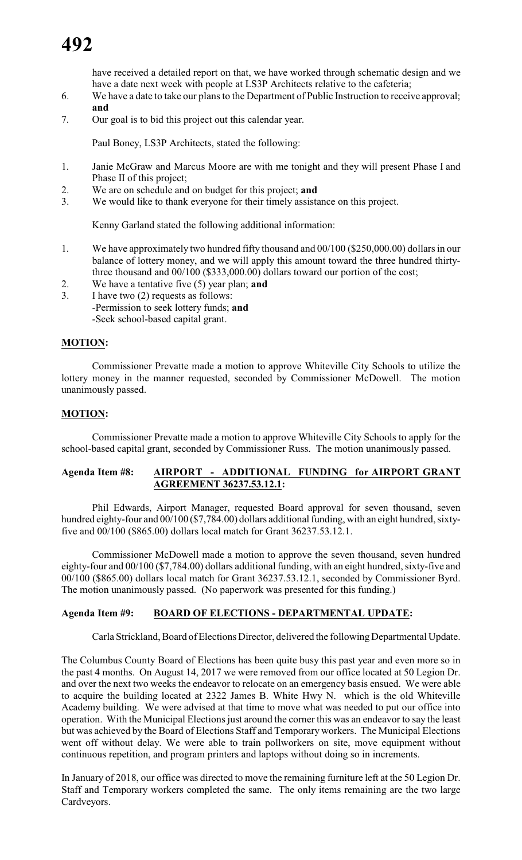have received a detailed report on that, we have worked through schematic design and we have a date next week with people at LS3P Architects relative to the cafeteria;

- 6. We have a date to take our plans to the Department of Public Instruction to receive approval; **and**
- 7. Our goal is to bid this project out this calendar year.

Paul Boney, LS3P Architects, stated the following:

- 1. Janie McGraw and Marcus Moore are with me tonight and they will present Phase I and Phase II of this project;
- 2. We are on schedule and on budget for this project; **and**
- 3. We would like to thank everyone for their timely assistance on this project.

Kenny Garland stated the following additional information:

- 1. We have approximately two hundred fifty thousand and 00/100 (\$250,000.00) dollars in our balance of lottery money, and we will apply this amount toward the three hundred thirtythree thousand and 00/100 (\$333,000.00) dollars toward our portion of the cost;
- 2. We have a tentative five (5) year plan; **and**
- 3. I have two (2) requests as follows:
	- -Permission to seek lottery funds; **and**
	- -Seek school-based capital grant.

#### **MOTION:**

Commissioner Prevatte made a motion to approve Whiteville City Schools to utilize the lottery money in the manner requested, seconded by Commissioner McDowell. The motion unanimously passed.

#### **MOTION:**

Commissioner Prevatte made a motion to approve Whiteville City Schools to apply for the school-based capital grant, seconded by Commissioner Russ. The motion unanimously passed.

### **Agenda Item #8: AIRPORT - ADDITIONAL FUNDING for AIRPORT GRANT AGREEMENT 36237.53.12.1:**

Phil Edwards, Airport Manager, requested Board approval for seven thousand, seven hundred eighty-four and 00/100 (\$7,784.00) dollars additional funding, with an eight hundred, sixtyfive and 00/100 (\$865.00) dollars local match for Grant 36237.53.12.1.

Commissioner McDowell made a motion to approve the seven thousand, seven hundred eighty-four and 00/100 (\$7,784.00) dollars additional funding, with an eight hundred, sixty-five and 00/100 (\$865.00) dollars local match for Grant 36237.53.12.1, seconded by Commissioner Byrd. The motion unanimously passed. (No paperwork was presented for this funding.)

### **Agenda Item #9: BOARD OF ELECTIONS - DEPARTMENTAL UPDATE:**

Carla Strickland, Board of Elections Director, delivered the following Departmental Update.

The Columbus County Board of Elections has been quite busy this past year and even more so in the past 4 months. On August 14, 2017 we were removed from our office located at 50 Legion Dr. and over the next two weeks the endeavor to relocate on an emergency basis ensued. We were able to acquire the building located at 2322 James B. White Hwy N. which is the old Whiteville Academy building. We were advised at that time to move what was needed to put our office into operation. With the Municipal Elections just around the corner this was an endeavor to say the least but was achieved by the Board of Elections Staff and Temporary workers. The Municipal Elections went off without delay. We were able to train pollworkers on site, move equipment without continuous repetition, and program printers and laptops without doing so in increments.

In January of 2018, our office was directed to move the remaining furniture left at the 50 Legion Dr. Staff and Temporary workers completed the same. The only items remaining are the two large Cardveyors.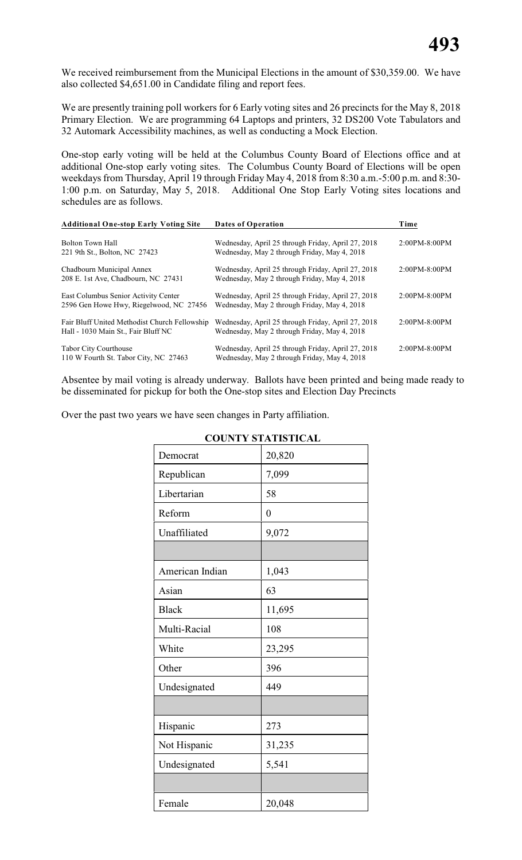We received reimbursement from the Municipal Elections in the amount of \$30,359.00. We have also collected \$4,651.00 in Candidate filing and report fees.

We are presently training poll workers for 6 Early voting sites and 26 precincts for the May 8, 2018 Primary Election. We are programming 64 Laptops and printers, 32 DS200 Vote Tabulators and 32 Automark Accessibility machines, as well as conducting a Mock Election.

One-stop early voting will be held at the Columbus County Board of Elections office and at additional One-stop early voting sites. The Columbus County Board of Elections will be open weekdays from Thursday, April 19 through Friday May 4, 2018 from 8:30 a.m.-5:00 p.m. and 8:30- 1:00 p.m. on Saturday, May 5, 2018. Additional One Stop Early Voting sites locations and schedules are as follows.

| <b>Additional One-stop Early Voting Site</b>                                         | <b>Dates of Operation</b>                                                                          | Time          |
|--------------------------------------------------------------------------------------|----------------------------------------------------------------------------------------------------|---------------|
| Bolton Town Hall<br>221 9th St., Bolton, NC 27423                                    | Wednesday, April 25 through Friday, April 27, 2018<br>Wednesday, May 2 through Friday, May 4, 2018 | 2:00PM-8:00PM |
| Chadbourn Municipal Annex<br>208 E. 1st Ave, Chadbourn, NC 27431                     | Wednesday, April 25 through Friday, April 27, 2018<br>Wednesday, May 2 through Friday, May 4, 2018 | 2:00PM-8:00PM |
| East Columbus Senior Activity Center<br>2596 Gen Howe Hwy, Riegelwood, NC 27456      | Wednesday, April 25 through Friday, April 27, 2018<br>Wednesday, May 2 through Friday, May 4, 2018 | 2:00PM-8:00PM |
| Fair Bluff United Methodist Church Fellowship<br>Hall - 1030 Main St., Fair Bluff NC | Wednesday, April 25 through Friday, April 27, 2018<br>Wednesday, May 2 through Friday, May 4, 2018 | 2:00PM-8:00PM |
| <b>Tabor City Courthouse</b><br>110 W Fourth St. Tabor City, NC 27463                | Wednesday, April 25 through Friday, April 27, 2018<br>Wednesday, May 2 through Friday, May 4, 2018 | 2:00PM-8:00PM |

Absentee by mail voting is already underway. Ballots have been printed and being made ready to be disseminated for pickup for both the One-stop sites and Election Day Precincts

Over the past two years we have seen changes in Party affiliation.

|                 | <b>COUNTY STATISTICAL</b> |
|-----------------|---------------------------|
| Democrat        | 20,820                    |
| Republican      | 7,099                     |
| Libertarian     | 58                        |
| Reform          | $\overline{0}$            |
| Unaffiliated    | 9,072                     |
|                 |                           |
| American Indian | 1,043                     |
| Asian           | 63                        |
| <b>Black</b>    | 11,695                    |
| Multi-Racial    | 108                       |
| White           | 23,295                    |
| Other           | 396                       |
| Undesignated    | 449                       |
|                 |                           |
| Hispanic        | 273                       |
| Not Hispanic    | 31,235                    |
| Undesignated    | 5,541                     |
|                 |                           |
| Female          | 20,048                    |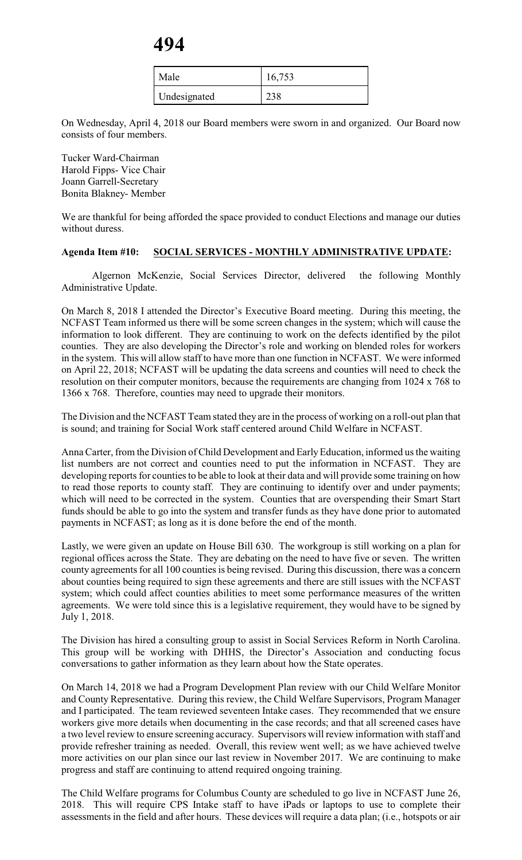| Male         | 16,753 |
|--------------|--------|
| Undesignated | 238    |

On Wednesday, April 4, 2018 our Board members were sworn in and organized. Our Board now consists of four members.

Tucker Ward-Chairman Harold Fipps- Vice Chair Joann Garrell-Secretary Bonita Blakney- Member

We are thankful for being afforded the space provided to conduct Elections and manage our duties without duress.

#### **Agenda Item #10: SOCIAL SERVICES - MONTHLY ADMINISTRATIVE UPDATE:**

Algernon McKenzie, Social Services Director, delivered the following Monthly Administrative Update.

On March 8, 2018 I attended the Director's Executive Board meeting. During this meeting, the NCFAST Team informed us there will be some screen changes in the system; which will cause the information to look different. They are continuing to work on the defects identified by the pilot counties. They are also developing the Director's role and working on blended roles for workers in the system. This will allow staff to have more than one function in NCFAST. We were informed on April 22, 2018; NCFAST will be updating the data screens and counties will need to check the resolution on their computer monitors, because the requirements are changing from 1024 x 768 to 1366 x 768. Therefore, counties may need to upgrade their monitors.

The Division and the NCFAST Team stated they are in the process of working on a roll-out plan that is sound; and training for Social Work staff centered around Child Welfare in NCFAST.

Anna Carter, from the Division of Child Development and Early Education, informed us the waiting list numbers are not correct and counties need to put the information in NCFAST. They are developing reports for counties to be able to look at their data and will provide some training on how to read those reports to county staff. They are continuing to identify over and under payments; which will need to be corrected in the system. Counties that are overspending their Smart Start funds should be able to go into the system and transfer funds as they have done prior to automated payments in NCFAST; as long as it is done before the end of the month.

Lastly, we were given an update on House Bill 630. The workgroup is still working on a plan for regional offices across the State. They are debating on the need to have five or seven. The written county agreements for all 100 counties is being revised. During this discussion, there was a concern about counties being required to sign these agreements and there are still issues with the NCFAST system; which could affect counties abilities to meet some performance measures of the written agreements. We were told since this is a legislative requirement, they would have to be signed by July 1, 2018.

The Division has hired a consulting group to assist in Social Services Reform in North Carolina. This group will be working with DHHS, the Director's Association and conducting focus conversations to gather information as they learn about how the State operates.

On March 14, 2018 we had a Program Development Plan review with our Child Welfare Monitor and County Representative. During this review, the Child Welfare Supervisors, Program Manager and I participated. The team reviewed seventeen Intake cases. They recommended that we ensure workers give more details when documenting in the case records; and that all screened cases have a two level review to ensure screening accuracy. Supervisors will review information with staff and provide refresher training as needed. Overall, this review went well; as we have achieved twelve more activities on our plan since our last review in November 2017. We are continuing to make progress and staff are continuing to attend required ongoing training.

The Child Welfare programs for Columbus County are scheduled to go live in NCFAST June 26, 2018. This will require CPS Intake staff to have iPads or laptops to use to complete their assessments in the field and after hours. These devices will require a data plan; (i.e., hotspots or air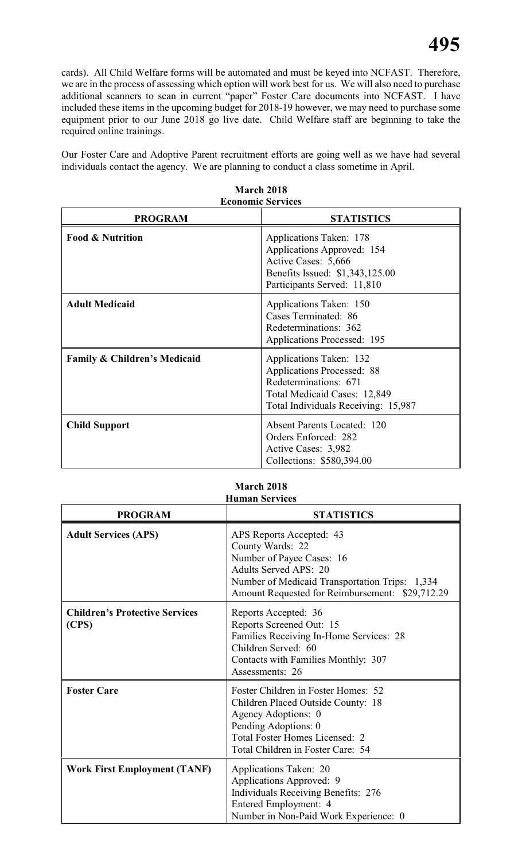cards). All Child Welfare forms will be automated and must be keyed into NCFAST. Therefore, we are in the process of assessing which option will work best for us. We will also need to purchase additional scanners to scan in current "paper" Foster Care documents into NCFAST. I have included these items in the upcoming budget for 2018-19 however, we may need to purchase some equipment prior to our June 2018 go live date. Child Welfare staff are beginning to take the required online trainings.

Our Foster Care and Adoptive Parent recruitment efforts are going well as we have had several individuals contact the agency. We are planning to conduct a class sometime in April.

| <b>Economic Services</b>                |                                                                                                                                                              |  |  |  |
|-----------------------------------------|--------------------------------------------------------------------------------------------------------------------------------------------------------------|--|--|--|
| <b>PROGRAM</b>                          | <b>STATISTICS</b>                                                                                                                                            |  |  |  |
| <b>Food &amp; Nutrition</b>             | Applications Taken: 178<br>Applications Approved: 154<br>Active Cases: 5,666<br>Benefits Issued: \$1,343,125.00<br>Participants Served: 11,810               |  |  |  |
| <b>Adult Medicaid</b>                   | Applications Taken: 150<br>Cases Terminated: 86<br>Redeterminations: 362<br><b>Applications Processed: 195</b>                                               |  |  |  |
| <b>Family &amp; Children's Medicaid</b> | Applications Taken: 132<br><b>Applications Processed: 88</b><br>Redeterminations: 671<br>Total Medicaid Cases: 12,849<br>Total Individuals Receiving: 15,987 |  |  |  |
| <b>Child Support</b>                    | <b>Absent Parents Located: 120</b><br>Orders Enforced: 282<br>Active Cases: 3,982<br>Collections: \$580,394.00                                               |  |  |  |

| March 2018       |  |
|------------------|--|
| conomic Services |  |

#### **March 2018 Human Services**

| <b>PROGRAM</b>                                 | <b>STATISTICS</b>                                                                                                                                                                                              |
|------------------------------------------------|----------------------------------------------------------------------------------------------------------------------------------------------------------------------------------------------------------------|
| <b>Adult Services (APS)</b>                    | APS Reports Accepted: 43<br>County Wards: 22<br>Number of Payee Cases: 16<br><b>Adults Served APS: 20</b><br>Number of Medicaid Transportation Trips: 1,334<br>Amount Requested for Reimbursement: \$29,712.29 |
| <b>Children's Protective Services</b><br>(CPS) | Reports Accepted: 36<br>Reports Screened Out: 15<br>Families Receiving In-Home Services: 28<br>Children Served: 60<br>Contacts with Families Monthly: 307<br>Assessments: 26                                   |
| <b>Foster Care</b>                             | Foster Children in Foster Homes: 52<br>Children Placed Outside County: 18<br>Agency Adoptions: 0<br>Pending Adoptions: 0<br>Total Foster Homes Licensed: 2<br>Total Children in Foster Care: 54                |
| <b>Work First Employment (TANF)</b>            | Applications Taken: 20<br>Applications Approved: 9<br><b>Individuals Receiving Benefits: 276</b><br>Entered Employment: 4<br>Number in Non-Paid Work Experience: 0                                             |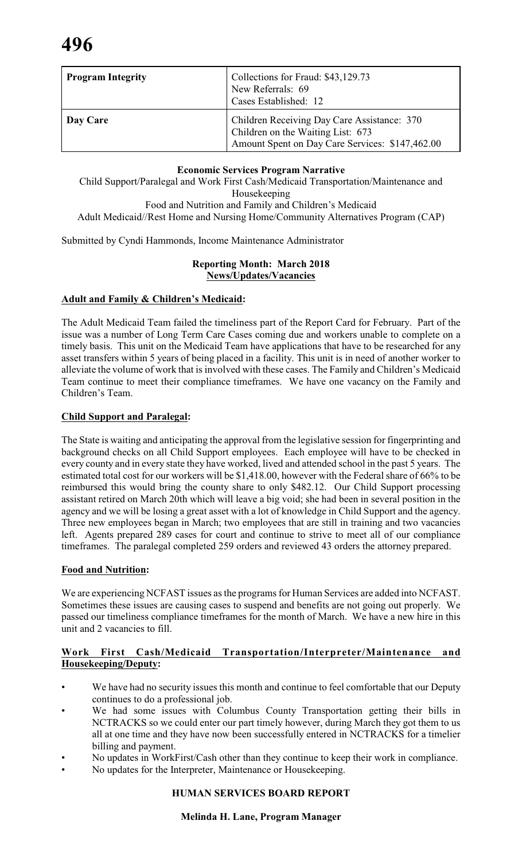| <b>Program Integrity</b> | Collections for Fraud: \$43,129.73<br>New Referrals: 69<br>Cases Established: 12                                                    |
|--------------------------|-------------------------------------------------------------------------------------------------------------------------------------|
| Day Care                 | Children Receiving Day Care Assistance: 370<br>Children on the Waiting List: 673<br>Amount Spent on Day Care Services: \$147,462.00 |

#### **Economic Services Program Narrative**

Child Support/Paralegal and Work First Cash/Medicaid Transportation/Maintenance and Housekeeping Food and Nutrition and Family and Children's Medicaid

Adult Medicaid//Rest Home and Nursing Home/Community Alternatives Program (CAP)

Submitted by Cyndi Hammonds, Income Maintenance Administrator

#### **Reporting Month: March 2018 News/Updates/Vacancies**

### **Adult and Family & Children's Medicaid:**

The Adult Medicaid Team failed the timeliness part of the Report Card for February. Part of the issue was a number of Long Term Care Cases coming due and workers unable to complete on a timely basis. This unit on the Medicaid Team have applications that have to be researched for any asset transfers within 5 years of being placed in a facility. This unit is in need of another worker to alleviate the volume of work that is involved with these cases. The Family and Children's Medicaid Team continue to meet their compliance timeframes. We have one vacancy on the Family and Children's Team.

#### **Child Support and Paralegal:**

The State is waiting and anticipating the approval from the legislative session for fingerprinting and background checks on all Child Support employees. Each employee will have to be checked in every county and in every state they have worked, lived and attended school in the past 5 years. The estimated total cost for our workers will be \$1,418.00, however with the Federal share of 66% to be reimbursed this would bring the county share to only \$482.12. Our Child Support processing assistant retired on March 20th which will leave a big void; she had been in several position in the agency and we will be losing a great asset with a lot of knowledge in Child Support and the agency. Three new employees began in March; two employees that are still in training and two vacancies left. Agents prepared 289 cases for court and continue to strive to meet all of our compliance timeframes. The paralegal completed 259 orders and reviewed 43 orders the attorney prepared.

#### **Food and Nutrition:**

We are experiencing NCFAST issues as the programs for Human Services are added into NCFAST. Sometimes these issues are causing cases to suspend and benefits are not going out properly. We passed our timeliness compliance timeframes for the month of March. We have a new hire in this unit and 2 vacancies to fill.

#### **Work First Cash/Medicaid Transportation/Interpreter/Maintenance and Housekeeping/Deputy:**

- We have had no security issues this month and continue to feel comfortable that our Deputy continues to do a professional job.
- We had some issues with Columbus County Transportation getting their bills in NCTRACKS so we could enter our part timely however, during March they got them to us all at one time and they have now been successfully entered in NCTRACKS for a timelier billing and payment.
- No updates in WorkFirst/Cash other than they continue to keep their work in compliance.
- No updates for the Interpreter, Maintenance or Housekeeping.

### **HUMAN SERVICES BOARD REPORT**

#### **Melinda H. Lane, Program Manager**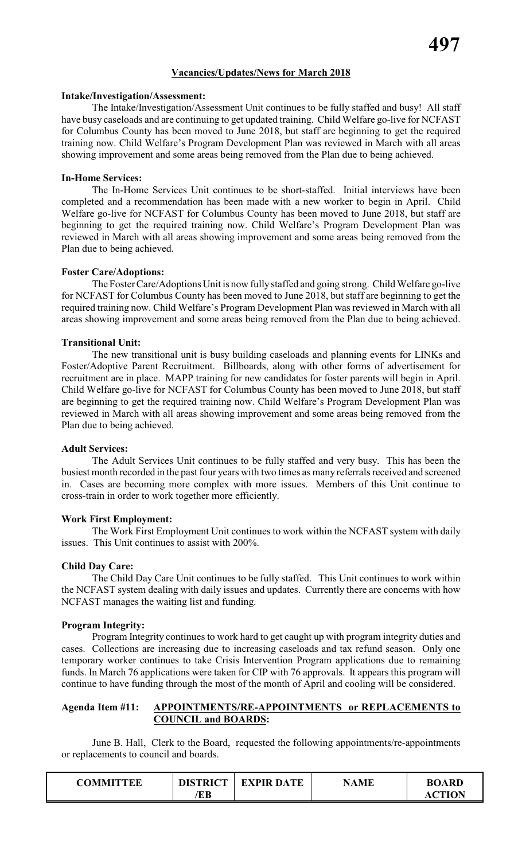#### **Vacancies/Updates/News for March 2018**

#### **Intake/Investigation/Assessment:**

The Intake/Investigation/Assessment Unit continues to be fully staffed and busy! All staff have busy caseloads and are continuing to get updated training. Child Welfare go-live for NCFAST for Columbus County has been moved to June 2018, but staff are beginning to get the required training now. Child Welfare's Program Development Plan was reviewed in March with all areas showing improvement and some areas being removed from the Plan due to being achieved.

#### **In-Home Services:**

The In-Home Services Unit continues to be short-staffed. Initial interviews have been completed and a recommendation has been made with a new worker to begin in April. Child Welfare go-live for NCFAST for Columbus County has been moved to June 2018, but staff are beginning to get the required training now. Child Welfare's Program Development Plan was reviewed in March with all areas showing improvement and some areas being removed from the Plan due to being achieved.

#### **Foster Care/Adoptions:**

The FosterCare/Adoptions Unit is now fully staffed and going strong. Child Welfare go-live for NCFAST for Columbus County has been moved to June 2018, but staff are beginning to get the required training now. Child Welfare's Program Development Plan was reviewed in March with all areas showing improvement and some areas being removed from the Plan due to being achieved.

#### **Transitional Unit:**

The new transitional unit is busy building caseloads and planning events for LINKs and Foster/Adoptive Parent Recruitment. Billboards, along with other forms of advertisement for recruitment are in place. MAPP training for new candidates for foster parents will begin in April. Child Welfare go-live for NCFAST for Columbus County has been moved to June 2018, but staff are beginning to get the required training now. Child Welfare's Program Development Plan was reviewed in March with all areas showing improvement and some areas being removed from the Plan due to being achieved.

#### **Adult Services:**

The Adult Services Unit continues to be fully staffed and very busy. This has been the busiest month recorded in the past four years with two times as many referrals received and screened in. Cases are becoming more complex with more issues. Members of this Unit continue to cross-train in order to work together more efficiently.

#### **Work First Employment:**

The Work First Employment Unit continues to work within the NCFAST system with daily issues. This Unit continues to assist with 200%.

#### **Child Day Care:**

The Child Day Care Unit continues to be fully staffed. This Unit continues to work within the NCFAST system dealing with daily issues and updates. Currently there are concerns with how NCFAST manages the waiting list and funding.

#### **Program Integrity:**

Program Integrity continues to work hard to get caught up with program integrity duties and cases. Collections are increasing due to increasing caseloads and tax refund season. Only one temporary worker continues to take Crisis Intervention Program applications due to remaining funds. In March 76 applications were taken for CIP with 76 approvals. It appears this program will continue to have funding through the most of the month of April and cooling will be considered.

#### **Agenda Item #11: APPOINTMENTS/RE-APPOINTMENTS or REPLACEMENTS to COUNCIL and BOARDS:**

June B. Hall, Clerk to the Board, requested the following appointments/re-appointments or replacements to council and boards.

| ΈB<br>TΙΛN<br>АC | COMMITTEE | <b>DISTRICT</b> | <b>EXPIR DATE</b> | <b>NAME</b> | <b>BOARD</b> |
|------------------|-----------|-----------------|-------------------|-------------|--------------|
|------------------|-----------|-----------------|-------------------|-------------|--------------|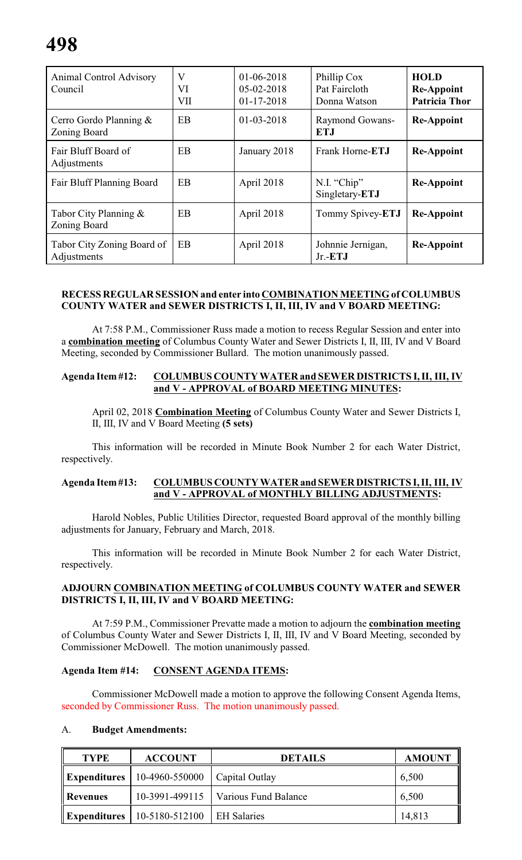| <b>Animal Control Advisory</b><br>Council | V<br>VI<br>VII | $01-06-2018$<br>05-02-2018<br>$01 - 17 - 2018$ | Phillip Cox<br>Pat Faircloth<br>Donna Watson | <b>HOLD</b><br><b>Re-Appoint</b><br><b>Patricia Thor</b> |
|-------------------------------------------|----------------|------------------------------------------------|----------------------------------------------|----------------------------------------------------------|
| Cerro Gordo Planning $\&$<br>Zoning Board | EB             | $01 - 03 - 2018$                               | Raymond Gowans-<br><b>ETJ</b>                | <b>Re-Appoint</b>                                        |
| Fair Bluff Board of<br>Adjustments        | <b>EB</b>      | January 2018                                   | Frank Horne- <b>ETJ</b>                      | <b>Re-Appoint</b>                                        |
| Fair Bluff Planning Board                 | <b>EB</b>      | April 2018                                     | N.I. "Chip"<br>Singletary-ETJ                | <b>Re-Appoint</b>                                        |
| Tabor City Planning $\&$<br>Zoning Board  | <b>EB</b>      | April 2018                                     | Tommy Spivey-ETJ                             | <b>Re-Appoint</b>                                        |
| Tabor City Zoning Board of<br>Adjustments | EB             | April 2018                                     | Johnnie Jernigan,<br>$Jr.-ETJ$               | <b>Re-Appoint</b>                                        |

#### **RECESS REGULAR SESSION and enter into COMBINATION MEETING of COLUMBUS COUNTY WATER and SEWER DISTRICTS I, II, III, IV and V BOARD MEETING:**

At 7:58 P.M., Commissioner Russ made a motion to recess Regular Session and enter into a **combination meeting** of Columbus County Water and Sewer Districts I, II, III, IV and V Board Meeting, seconded by Commissioner Bullard. The motion unanimously passed.

#### **Agenda Item #12: COLUMBUS COUNTY WATER and SEWER DISTRICTS I, II, III, IV and V - APPROVAL of BOARD MEETING MINUTES:**

April 02, 2018 **Combination Meeting** of Columbus County Water and Sewer Districts I, II, III, IV and V Board Meeting **(5 sets)**

This information will be recorded in Minute Book Number 2 for each Water District, respectively.

#### **Agenda Item #13: COLUMBUS COUNTY WATER and SEWER DISTRICTS I, II, III, IV and V - APPROVAL of MONTHLY BILLING ADJUSTMENTS:**

Harold Nobles, Public Utilities Director, requested Board approval of the monthly billing adjustments for January, February and March, 2018.

This information will be recorded in Minute Book Number 2 for each Water District, respectively.

#### **ADJOURN COMBINATION MEETING of COLUMBUS COUNTY WATER and SEWER DISTRICTS I, II, III, IV and V BOARD MEETING:**

At 7:59 P.M., Commissioner Prevatte made a motion to adjourn the **combination meeting** of Columbus County Water and Sewer Districts I, II, III, IV and V Board Meeting, seconded by Commissioner McDowell. The motion unanimously passed.

#### **Agenda Item #14: CONSENT AGENDA ITEMS:**

Commissioner McDowell made a motion to approve the following Consent Agenda Items, seconded by Commissioner Russ. The motion unanimously passed.

#### A. **Budget Amendments:**

| <b>TYPE</b>         | <b>ACCOUNT</b> | <b>DETAILS</b>       | <b>AMOUNT</b> |
|---------------------|----------------|----------------------|---------------|
| <b>Expenditures</b> | 10-4960-550000 | Capital Outlay       | 6,500         |
| Revenues            | 10-3991-499115 | Various Fund Balance | 6,500         |
| <b>Expenditures</b> | 10-5180-512100 | <b>EH Salaries</b>   | 14,813        |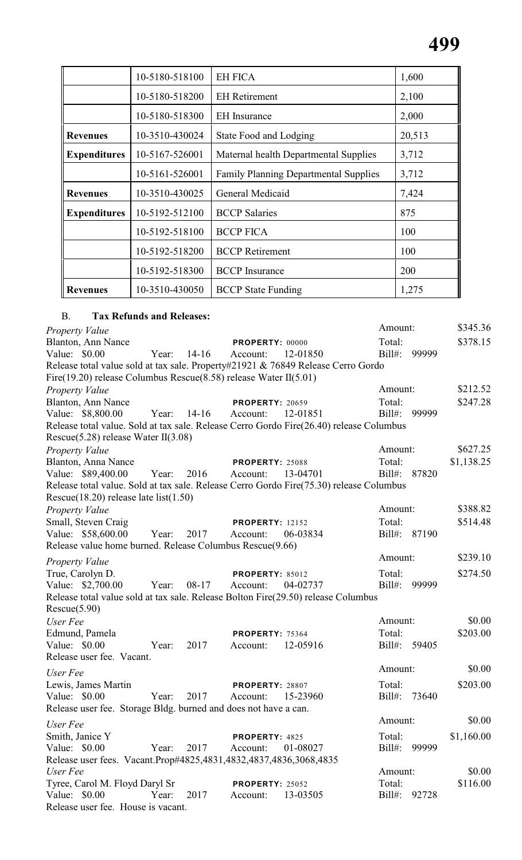|                     | 10-5180-518100 | <b>EH FICA</b>                               | 1,600  |
|---------------------|----------------|----------------------------------------------|--------|
|                     | 10-5180-518200 | <b>EH</b> Retirement                         | 2,100  |
|                     | 10-5180-518300 | <b>EH</b> Insurance                          | 2,000  |
| <b>Revenues</b>     | 10-3510-430024 | State Food and Lodging                       | 20,513 |
| <b>Expenditures</b> | 10-5167-526001 | Maternal health Departmental Supplies        | 3,712  |
|                     | 10-5161-526001 | <b>Family Planning Departmental Supplies</b> | 3,712  |
| <b>Revenues</b>     | 10-3510-430025 | General Medicaid                             | 7,424  |
| <b>Expenditures</b> | 10-5192-512100 | <b>BCCP</b> Salaries                         | 875    |
|                     | 10-5192-518100 | <b>BCCP FICA</b>                             | 100    |
|                     | 10-5192-518200 | <b>BCCP</b> Retirement                       | 100    |
|                     | 10-5192-518300 | <b>BCCP</b> Insurance                        | 200    |
| <b>Revenues</b>     | 10-3510-430050 | <b>BCCP</b> State Funding                    | 1,275  |

### B. **Tax Refunds and Releases:**

| <b>Property Value</b>                                                                   |       |           |                        |          | Amount:   |       | \$345.36   |
|-----------------------------------------------------------------------------------------|-------|-----------|------------------------|----------|-----------|-------|------------|
| Blanton, Ann Nance                                                                      |       |           | PROPERTY: 00000        |          | Total:    |       | \$378.15   |
| Value: $$0.00$                                                                          | Year: | $14-16$   | Account:               | 12-01850 | $Bill#$ : | 99999 |            |
| Release total value sold at tax sale. Property#21921 & 76849 Release Cerro Gordo        |       |           |                        |          |           |       |            |
| Fire(19.20) release Columbus Rescue(8.58) release Water $II(5.01)$                      |       |           |                        |          |           |       |            |
| <b>Property Value</b>                                                                   |       |           |                        |          | Amount:   |       | \$212.52   |
| Blanton, Ann Nance                                                                      |       |           | <b>PROPERTY: 20659</b> |          | Total:    |       | \$247.28   |
| Value: \$8,800.00                                                                       | Year: | $14 - 16$ | Account:               | 12-01851 | $Bill#$ : | 99999 |            |
| Release total value. Sold at tax sale. Release Cerro Gordo Fire(26.40) release Columbus |       |           |                        |          |           |       |            |
| Rescue $(5.28)$ release Water II $(3.08)$                                               |       |           |                        |          |           |       |            |
| <b>Property Value</b>                                                                   |       |           |                        |          | Amount:   |       | \$627.25   |
| Blanton, Anna Nance                                                                     |       |           | <b>PROPERTY: 25088</b> |          | Total:    |       | \$1,138.25 |
| Value: \$89,400.00                                                                      | Year: | 2016      | Account:               | 13-04701 | $Bill#$ : | 87820 |            |
| Release total value. Sold at tax sale. Release Cerro Gordo Fire(75.30) release Columbus |       |           |                        |          |           |       |            |
| Rescue $(18.20)$ release late list $(1.50)$                                             |       |           |                        |          |           |       |            |
| Property Value                                                                          |       |           |                        |          | Amount:   |       | \$388.82   |
| Small, Steven Craig                                                                     |       |           | <b>PROPERTY: 12152</b> |          | Total:    |       | \$514.48   |
| Value: \$58,600.00                                                                      | Year: | 2017      | Account:               | 06-03834 | $Bill#$ : | 87190 |            |
| Release value home burned. Release Columbus Rescue(9.66)                                |       |           |                        |          |           |       |            |
| <b>Property Value</b>                                                                   |       |           |                        |          | Amount:   |       | \$239.10   |
| True, Carolyn D.                                                                        |       |           | <b>PROPERTY: 85012</b> |          | Total:    |       | \$274.50   |
| Value: \$2,700.00                                                                       | Year: | $08-17$   | Account:               | 04-02737 | $Bill#$ : | 99999 |            |
| Release total value sold at tax sale. Release Bolton Fire(29.50) release Columbus       |       |           |                        |          |           |       |            |
| Rescue(5.90)                                                                            |       |           |                        |          |           |       |            |
| User Fee                                                                                |       |           |                        |          | Amount:   |       | \$0.00     |
| Edmund, Pamela                                                                          |       |           | <b>PROPERTY: 75364</b> |          | Total:    |       | \$203.00   |
| Value: \$0.00                                                                           | Year: | 2017      | Account:               | 12-05916 | $Bill#$ : | 59405 |            |
| Release user fee. Vacant.                                                               |       |           |                        |          |           |       |            |
|                                                                                         |       |           |                        |          | Amount:   |       | \$0.00     |
| User Fee                                                                                |       |           |                        |          |           |       |            |
| Lewis, James Martin                                                                     |       |           | <b>PROPERTY: 28807</b> |          | Total:    |       | \$203.00   |
| Value: \$0.00                                                                           | Year: | 2017      | Account:               | 15-23960 | $Bill#$ : | 73640 |            |
| Release user fee. Storage Bldg. burned and does not have a can.                         |       |           |                        |          |           |       |            |
| User Fee                                                                                |       |           |                        |          | Amount:   |       | \$0.00     |
| Smith, Janice Y                                                                         |       |           | PROPERTY: 4825         |          | Total:    |       | \$1,160.00 |
| Value: $$0.00$                                                                          | Year: | 2017      | Account:               | 01-08027 | Bill#:    | 99999 |            |
| Release user fees. Vacant.Prop#4825,4831,4832,4837,4836,3068,4835                       |       |           |                        |          |           |       |            |
| User Fee                                                                                |       |           |                        |          | Amount:   |       | \$0.00     |
| Tyree, Carol M. Floyd Daryl Sr                                                          |       |           | <b>PROPERTY: 25052</b> |          | Total:    |       | \$116.00   |
| Value: \$0.00                                                                           | Year: | 2017      | Account:               | 13-03505 | $Bill#$ : | 92728 |            |
| Release user fee. House is vacant.                                                      |       |           |                        |          |           |       |            |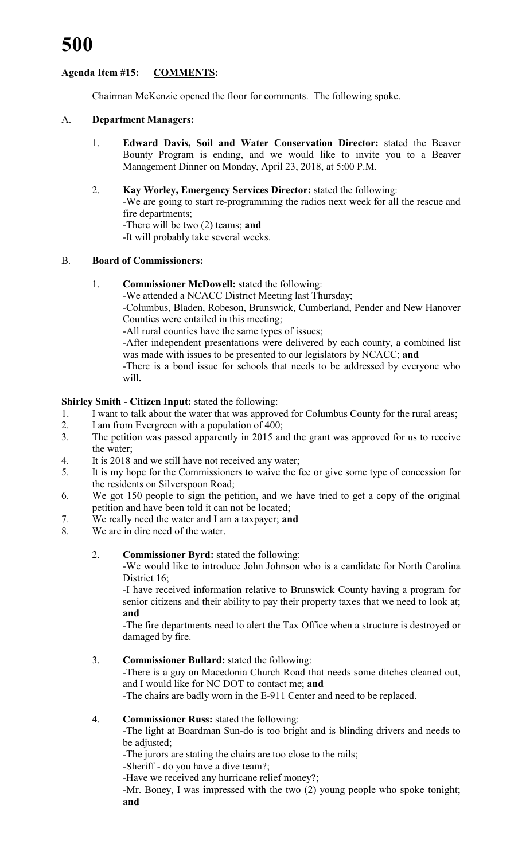### **Agenda Item #15: COMMENTS:**

Chairman McKenzie opened the floor for comments. The following spoke.

#### A. **Department Managers:**

1. **Edward Davis, Soil and Water Conservation Director:** stated the Beaver Bounty Program is ending, and we would like to invite you to a Beaver Management Dinner on Monday, April 23, 2018, at 5:00 P.M.

#### 2. **Kay Worley, Emergency Services Director:** stated the following:

-We are going to start re-programming the radios next week for all the rescue and fire departments;

-There will be two (2) teams; **and**

-It will probably take several weeks.

#### B. **Board of Commissioners:**

1. **Commissioner McDowell:** stated the following:

-We attended a NCACC District Meeting last Thursday;

-Columbus, Bladen, Robeson, Brunswick, Cumberland, Pender and New Hanover Counties were entailed in this meeting;

-All rural counties have the same types of issues;

-After independent presentations were delivered by each county, a combined list was made with issues to be presented to our legislators by NCACC; **and**

-There is a bond issue for schools that needs to be addressed by everyone who will**.**

### **Shirley Smith - Citizen Input:** stated the following:

- 1. I want to talk about the water that was approved for Columbus County for the rural areas;
- 2. I am from Evergreen with a population of 400;
- 3. The petition was passed apparently in 2015 and the grant was approved for us to receive the water;
- 4. It is 2018 and we still have not received any water;
- 5. It is my hope for the Commissioners to waive the fee or give some type of concession for the residents on Silverspoon Road;
- 6. We got 150 people to sign the petition, and we have tried to get a copy of the original petition and have been told it can not be located;
- 7. We really need the water and I am a taxpayer; **and**
- 8. We are in dire need of the water.

#### 2. **Commissioner Byrd:** stated the following:

-We would like to introduce John Johnson who is a candidate for North Carolina District 16:

-I have received information relative to Brunswick County having a program for senior citizens and their ability to pay their property taxes that we need to look at; **and**

-The fire departments need to alert the Tax Office when a structure is destroyed or damaged by fire.

### 3. **Commissioner Bullard:** stated the following:

-There is a guy on Macedonia Church Road that needs some ditches cleaned out, and I would like for NC DOT to contact me; **and**

-The chairs are badly worn in the E-911 Center and need to be replaced.

#### 4. **Commissioner Russ:** stated the following:

-The light at Boardman Sun-do is too bright and is blinding drivers and needs to be adjusted:

-The jurors are stating the chairs are too close to the rails;

-Sheriff - do you have a dive team?;

-Have we received any hurricane relief money?;

-Mr. Boney, I was impressed with the two (2) young people who spoke tonight; **and**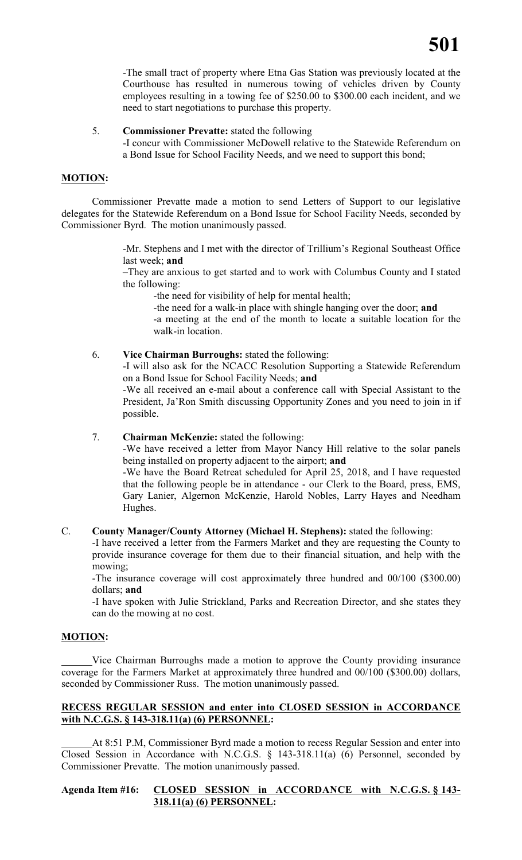-The small tract of property where Etna Gas Station was previously located at the Courthouse has resulted in numerous towing of vehicles driven by County employees resulting in a towing fee of \$250.00 to \$300.00 each incident, and we need to start negotiations to purchase this property.

5. **Commissioner Prevatte:** stated the following

-I concur with Commissioner McDowell relative to the Statewide Referendum on a Bond Issue for School Facility Needs, and we need to support this bond;

#### **MOTION:**

Commissioner Prevatte made a motion to send Letters of Support to our legislative delegates for the Statewide Referendum on a Bond Issue for School Facility Needs, seconded by Commissioner Byrd. The motion unanimously passed.

> -Mr. Stephens and I met with the director of Trillium's Regional Southeast Office last week; **and**

> –They are anxious to get started and to work with Columbus County and I stated the following:

-the need for visibility of help for mental health;

-the need for a walk-in place with shingle hanging over the door; **and**

-a meeting at the end of the month to locate a suitable location for the walk-in location.

6. **Vice Chairman Burroughs:** stated the following:

-I will also ask for the NCACC Resolution Supporting a Statewide Referendum on a Bond Issue for School Facility Needs; **and**

-We all received an e-mail about a conference call with Special Assistant to the President, Ja'Ron Smith discussing Opportunity Zones and you need to join in if possible.

#### 7. **Chairman McKenzie:** stated the following:

-We have received a letter from Mayor Nancy Hill relative to the solar panels being installed on property adjacent to the airport; **and**

-We have the Board Retreat scheduled for April 25, 2018, and I have requested that the following people be in attendance - our Clerk to the Board, press, EMS, Gary Lanier, Algernon McKenzie, Harold Nobles, Larry Hayes and Needham Hughes.

#### C. **County Manager/County Attorney (Michael H. Stephens):** stated the following:

-I have received a letter from the Farmers Market and they are requesting the County to provide insurance coverage for them due to their financial situation, and help with the mowing;

-The insurance coverage will cost approximately three hundred and 00/100 (\$300.00) dollars; **and**

-I have spoken with Julie Strickland, Parks and Recreation Director, and she states they can do the mowing at no cost.

### **MOTION:**

Vice Chairman Burroughs made a motion to approve the County providing insurance coverage for the Farmers Market at approximately three hundred and 00/100 (\$300.00) dollars, seconded by Commissioner Russ. The motion unanimously passed.

#### **RECESS REGULAR SESSION and enter into CLOSED SESSION in ACCORDANCE with N.C.G.S. § 143-318.11(a) (6) PERSONNEL:**

At 8:51 P.M, Commissioner Byrd made a motion to recess Regular Session and enter into Closed Session in Accordance with N.C.G.S. § 143-318.11(a) (6) Personnel, seconded by Commissioner Prevatte. The motion unanimously passed.

#### **Agenda Item #16: CLOSED SESSION in ACCORDANCE with N.C.G.S. § 143- 318.11(a) (6) PERSONNEL:**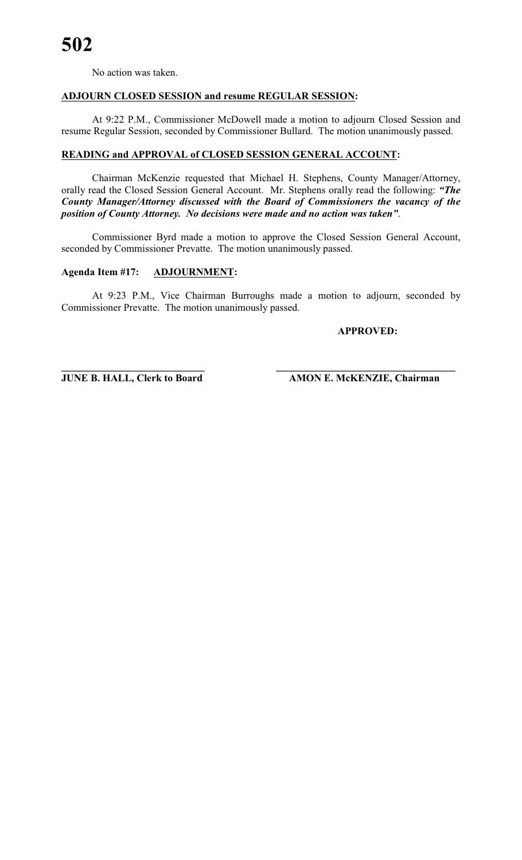No action was taken.

#### **ADJOURN CLOSED SESSION and resume REGULAR SESSION:**

At 9:22 P.M., Commissioner McDowell made a motion to adjourn Closed Session and resume Regular Session, seconded by Commissioner Bullard. The motion unanimously passed.

#### **READING and APPROVAL of CLOSED SESSION GENERAL ACCOUNT:**

Chairman McKenzie requested that Michael H. Stephens, County Manager/Attorney, orally read the Closed Session General Account. Mr. Stephens orally read the following: *"The County Manager/Attorney discussed with the Board of Commissioners the vacancy of the position of County Attorney. No decisions were made and no action was taken"*.

Commissioner Byrd made a motion to approve the Closed Session General Account, seconded by Commissioner Prevatte. The motion unanimously passed.

#### **Agenda Item #17: ADJOURNMENT:**

At 9:23 P.M., Vice Chairman Burroughs made a motion to adjourn, seconded by Commissioner Prevatte. The motion unanimously passed.

**\_\_\_\_\_\_\_\_\_\_\_\_\_\_\_\_\_\_\_\_\_\_\_\_\_\_\_\_ \_\_\_\_\_\_\_\_\_\_\_\_\_\_\_\_\_\_\_\_\_\_\_\_\_\_\_\_\_\_\_\_\_\_\_**

**APPROVED:**

**JUNE B. HALL, Clerk to Board AMON E. McKENZIE, Chairman**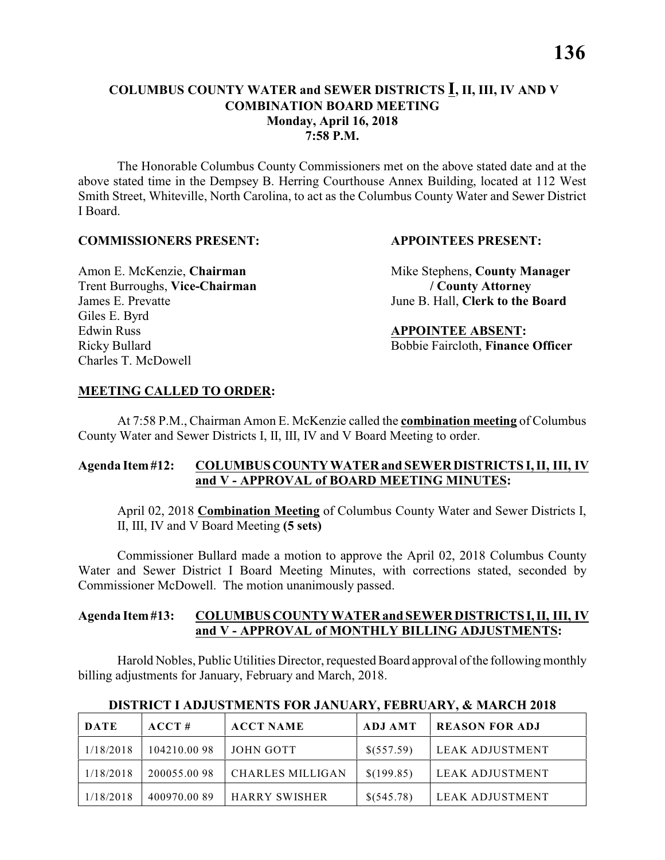#### **COLUMBUS COUNTY WATER and SEWER DISTRICTS I, II, III, IV AND V COMBINATION BOARD MEETING Monday, April 16, 2018 7:58 P.M.**

The Honorable Columbus County Commissioners met on the above stated date and at the above stated time in the Dempsey B. Herring Courthouse Annex Building, located at 112 West Smith Street, Whiteville, North Carolina, to act as the Columbus County Water and Sewer District I Board.

#### **COMMISSIONERS PRESENT: APPOINTEES PRESENT:**

Trent Burroughs, **Vice-Chairman / County Attorney** James E. Prevatte June B. Hall, **Clerk to the Board** Giles E. Byrd Edwin Russ **APPOINTEE ABSENT:** Charles T. McDowell

Amon E. McKenzie, **Chairman** Mike Stephens, **County Manager** 

Ricky Bullard Bobbie Faircloth, **Finance Officer**

#### **MEETING CALLED TO ORDER:**

At 7:58 P.M., Chairman Amon E. McKenzie called the **combination meeting** of Columbus County Water and Sewer Districts I, II, III, IV and V Board Meeting to order.

#### **Agenda Item #12: COLUMBUS COUNTY WATER and SEWER DISTRICTS I, II, III, IV and V - APPROVAL of BOARD MEETING MINUTES:**

April 02, 2018 **Combination Meeting** of Columbus County Water and Sewer Districts I, II, III, IV and V Board Meeting **(5 sets)**

Commissioner Bullard made a motion to approve the April 02, 2018 Columbus County Water and Sewer District I Board Meeting Minutes, with corrections stated, seconded by Commissioner McDowell. The motion unanimously passed.

#### **Agenda Item #13: COLUMBUS COUNTY WATER and SEWER DISTRICTS I, II, III, IV and V - APPROVAL of MONTHLY BILLING ADJUSTMENTS:**

Harold Nobles, Public Utilities Director, requested Board approval ofthe following monthly billing adjustments for January, February and March, 2018.

| <b>DATE</b> | ACCT#       | <b>ACCT NAME</b>        | ADJ AMT    | <b>REASON FOR ADJ</b> |
|-------------|-------------|-------------------------|------------|-----------------------|
| 1/18/2018   | 104210.0098 | JOHN GOTT               | \$(557.59) | LEAK ADJUSTMENT       |
| 1/18/2018   | 200055.0098 | <b>CHARLES MILLIGAN</b> | \$(199.85) | LEAK ADJUSTMENT       |
| 1/18/2018   | 400970.0089 | <b>HARRY SWISHER</b>    | \$(545.78) | LEAK ADJUSTMENT       |

#### **DISTRICT I ADJUSTMENTS FOR JANUARY, FEBRUARY, & MARCH 2018**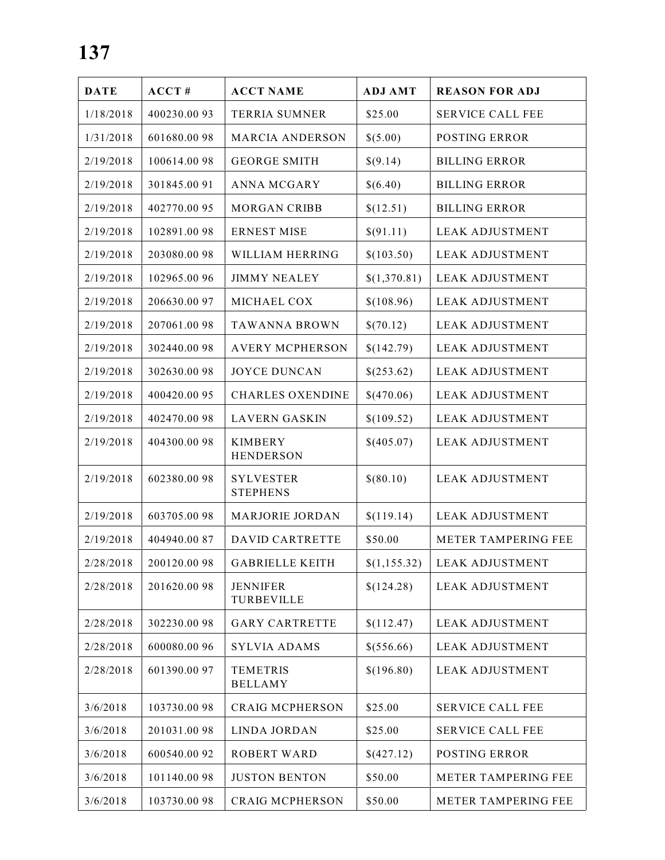| <b>DATE</b> | ACCT#        | <b>ACCT NAME</b>                    | <b>ADJ AMT</b> | <b>REASON FOR ADJ</b>   |
|-------------|--------------|-------------------------------------|----------------|-------------------------|
| 1/18/2018   | 400230.0093  | <b>TERRIA SUMNER</b>                | \$25.00        | <b>SERVICE CALL FEE</b> |
| 1/31/2018   | 601680.0098  | <b>MARCIA ANDERSON</b>              | \$(5.00)       | <b>POSTING ERROR</b>    |
| 2/19/2018   | 100614.0098  | <b>GEORGE SMITH</b>                 | \$(9.14)       | <b>BILLING ERROR</b>    |
| 2/19/2018   | 301845.0091  | <b>ANNA MCGARY</b>                  | \$(6.40)       | <b>BILLING ERROR</b>    |
| 2/19/2018   | 402770.0095  | <b>MORGAN CRIBB</b>                 | \$(12.51)      | <b>BILLING ERROR</b>    |
| 2/19/2018   | 102891.0098  | <b>ERNEST MISE</b>                  | \$(91.11)      | <b>LEAK ADJUSTMENT</b>  |
| 2/19/2018   | 203080.0098  | WILLIAM HERRING                     | \$(103.50)     | <b>LEAK ADJUSTMENT</b>  |
| 2/19/2018   | 102965.00 96 | <b>JIMMY NEALEY</b>                 | \$(1,370.81)   | <b>LEAK ADJUSTMENT</b>  |
| 2/19/2018   | 206630.0097  | MICHAEL COX                         | \$(108.96)     | <b>LEAK ADJUSTMENT</b>  |
| 2/19/2018   | 207061.0098  | <b>TAWANNA BROWN</b>                | \$(70.12)      | <b>LEAK ADJUSTMENT</b>  |
| 2/19/2018   | 302440.0098  | <b>AVERY MCPHERSON</b>              | \$(142.79)     | <b>LEAK ADJUSTMENT</b>  |
| 2/19/2018   | 302630.0098  | <b>JOYCE DUNCAN</b>                 | \$(253.62)     | <b>LEAK ADJUSTMENT</b>  |
| 2/19/2018   | 400420.0095  | <b>CHARLES OXENDINE</b>             | \$(470.06)     | <b>LEAK ADJUSTMENT</b>  |
| 2/19/2018   | 402470.0098  | <b>LAVERN GASKIN</b>                | \$(109.52)     | <b>LEAK ADJUSTMENT</b>  |
| 2/19/2018   | 404300.0098  | <b>KIMBERY</b><br><b>HENDERSON</b>  | \$(405.07)     | <b>LEAK ADJUSTMENT</b>  |
| 2/19/2018   | 602380.0098  | <b>SYLVESTER</b><br><b>STEPHENS</b> | \$(80.10)      | <b>LEAK ADJUSTMENT</b>  |
| 2/19/2018   | 603705.0098  | MARJORIE JORDAN                     | \$(119.14)     | <b>LEAK ADJUSTMENT</b>  |
| 2/19/2018   | 404940.0087  | <b>DAVID CARTRETTE</b>              | \$50.00        | METER TAMPERING FEE     |
| 2/28/2018   | 200120.0098  | <b>GABRIELLE KEITH</b>              | \$(1,155.32)   | LEAK ADJUSTMENT         |
| 2/28/2018   | 201620.0098  | <b>JENNIFER</b><br>TURBEVILLE       | \$(124.28)     | LEAK ADJUSTMENT         |
| 2/28/2018   | 302230.0098  | <b>GARY CARTRETTE</b>               | \$(112.47)     | <b>LEAK ADJUSTMENT</b>  |
| 2/28/2018   | 600080.0096  | <b>SYLVIA ADAMS</b>                 | \$(556.66)     | <b>LEAK ADJUSTMENT</b>  |
| 2/28/2018   | 601390.0097  | <b>TEMETRIS</b><br><b>BELLAMY</b>   | \$(196.80)     | <b>LEAK ADJUSTMENT</b>  |
| 3/6/2018    | 103730.0098  | <b>CRAIG MCPHERSON</b>              | \$25.00        | <b>SERVICE CALL FEE</b> |
| 3/6/2018    | 201031.0098  | <b>LINDA JORDAN</b>                 | \$25.00        | <b>SERVICE CALL FEE</b> |
| 3/6/2018    | 600540.0092  | <b>ROBERT WARD</b>                  | \$(427.12)     | <b>POSTING ERROR</b>    |
| 3/6/2018    | 101140.0098  | <b>JUSTON BENTON</b>                | \$50.00        | METER TAMPERING FEE     |
| 3/6/2018    | 103730.0098  | <b>CRAIG MCPHERSON</b>              | \$50.00        | METER TAMPERING FEE     |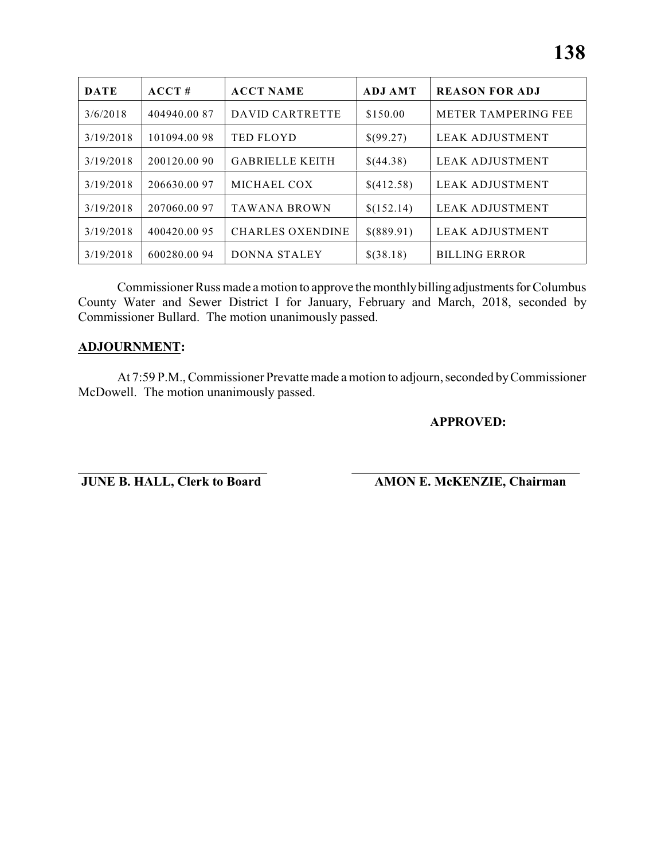| <b>DATE</b> | ACCT#        | <b>ACCT NAME</b>        | <b>ADJ AMT</b> | <b>REASON FOR ADJ</b>      |
|-------------|--------------|-------------------------|----------------|----------------------------|
| 3/6/2018    | 404940.00 87 | DAVID CARTRETTE         | \$150.00       | <b>METER TAMPERING FEE</b> |
| 3/19/2018   | 101094.00 98 | <b>TED FLOYD</b>        | \$(99.27)      | LEAK ADJUSTMENT            |
| 3/19/2018   | 200120.00 90 | <b>GABRIELLE KEITH</b>  | \$(44.38)      | LEAK ADJUSTMENT            |
| 3/19/2018   | 206630.0097  | MICHAEL COX             | \$(412.58)     | LEAK ADJUSTMENT            |
| 3/19/2018   | 207060.00 97 | <b>TAWANA BROWN</b>     | \$(152.14)     | <b>LEAK ADJUSTMENT</b>     |
| 3/19/2018   | 400420.00 95 | <b>CHARLES OXENDINE</b> | \$(889.91)     | <b>LEAK ADJUSTMENT</b>     |
| 3/19/2018   | 600280.0094  | DONNA STALEY            | \$(38.18)      | <b>BILLING ERROR</b>       |

Commissioner Russ made a motion to approve the monthly billing adjustments for Columbus County Water and Sewer District I for January, February and March, 2018, seconded by Commissioner Bullard. The motion unanimously passed.

#### **ADJOURNMENT:**

At 7:59 P.M., Commissioner Prevatte made a motion to adjourn, seconded by Commissioner McDowell. The motion unanimously passed.

\_\_\_\_\_\_\_\_\_\_\_\_\_\_\_\_\_\_\_\_\_\_\_\_\_\_\_\_\_ \_\_\_\_\_\_\_\_\_\_\_\_\_\_\_\_\_\_\_\_\_\_\_\_\_\_\_\_\_\_\_\_\_\_\_

#### **APPROVED:**

**JUNE B. HALL, Clerk to Board AMON E. McKENZIE, Chairman**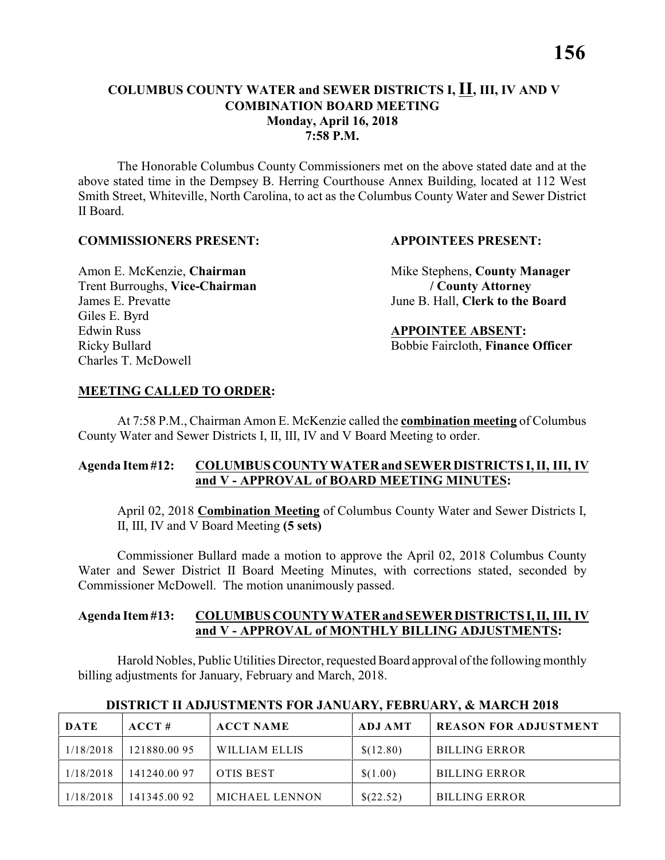#### **COLUMBUS COUNTY WATER and SEWER DISTRICTS I, II, III, IV AND V COMBINATION BOARD MEETING Monday, April 16, 2018 7:58 P.M.**

The Honorable Columbus County Commissioners met on the above stated date and at the above stated time in the Dempsey B. Herring Courthouse Annex Building, located at 112 West Smith Street, Whiteville, North Carolina, to act as the Columbus County Water and Sewer District II Board.

#### **COMMISSIONERS PRESENT: APPOINTEES PRESENT:**

Trent Burroughs, **Vice-Chairman / County Attorney** James E. Prevatte June B. Hall, **Clerk to the Board** Giles E. Byrd Edwin Russ **APPOINTEE ABSENT:** Charles T. McDowell

Amon E. McKenzie, **Chairman** Mike Stephens, **County Manager** 

Ricky Bullard Bobbie Faircloth, **Finance Officer**

#### **MEETING CALLED TO ORDER:**

At 7:58 P.M., Chairman Amon E. McKenzie called the **combination meeting** of Columbus County Water and Sewer Districts I, II, III, IV and V Board Meeting to order.

#### **Agenda Item #12: COLUMBUS COUNTY WATER and SEWER DISTRICTS I, II, III, IV and V - APPROVAL of BOARD MEETING MINUTES:**

April 02, 2018 **Combination Meeting** of Columbus County Water and Sewer Districts I, II, III, IV and V Board Meeting **(5 sets)**

Commissioner Bullard made a motion to approve the April 02, 2018 Columbus County Water and Sewer District II Board Meeting Minutes, with corrections stated, seconded by Commissioner McDowell. The motion unanimously passed.

#### **Agenda Item #13: COLUMBUS COUNTY WATER and SEWER DISTRICTS I, II, III, IV and V - APPROVAL of MONTHLY BILLING ADJUSTMENTS:**

Harold Nobles, Public Utilities Director, requested Board approval ofthe following monthly billing adjustments for January, February and March, 2018.

| DATE      | ACCT#        | <b>ACCT NAME</b> | ADJ AMT   | <b>REASON FOR ADJUSTMENT</b> |
|-----------|--------------|------------------|-----------|------------------------------|
| 1/18/2018 | 121880.0095  | WILLIAM ELLIS    | \$(12.80) | <b>BILLING ERROR</b>         |
| 1/18/2018 | 141240.00 97 | <b>OTIS BEST</b> | \$(1.00)  | <b>BILLING ERROR</b>         |
| 1/18/2018 | 141345.00 92 | MICHAEL LENNON   | \$(22.52) | <b>BILLING ERROR</b>         |

#### **DISTRICT II ADJUSTMENTS FOR JANUARY, FEBRUARY, & MARCH 2018**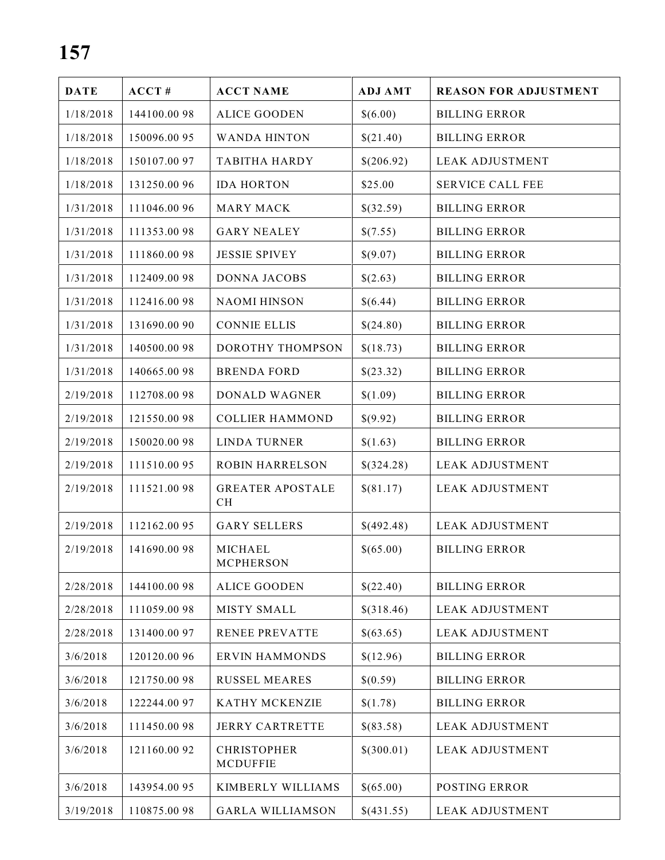| <b>DATE</b> | ACCT#        | <b>ACCT NAME</b>                      | <b>ADJ AMT</b> | <b>REASON FOR ADJUSTMENT</b> |
|-------------|--------------|---------------------------------------|----------------|------------------------------|
| 1/18/2018   | 144100.0098  | <b>ALICE GOODEN</b>                   | \$(6.00)       | <b>BILLING ERROR</b>         |
| 1/18/2018   | 150096.0095  | <b>WANDA HINTON</b>                   | \$(21.40)      | <b>BILLING ERROR</b>         |
| 1/18/2018   | 150107.0097  | <b>TABITHA HARDY</b>                  | \$(206.92)     | <b>LEAK ADJUSTMENT</b>       |
| 1/18/2018   | 131250.00 96 | <b>IDA HORTON</b>                     | \$25.00        | <b>SERVICE CALL FEE</b>      |
| 1/31/2018   | 111046.00 96 | <b>MARY MACK</b>                      | \$(32.59)      | <b>BILLING ERROR</b>         |
| 1/31/2018   | 111353.0098  | <b>GARY NEALEY</b>                    | \$(7.55)       | <b>BILLING ERROR</b>         |
| 1/31/2018   | 111860.0098  | <b>JESSIE SPIVEY</b>                  | \$(9.07)       | <b>BILLING ERROR</b>         |
| 1/31/2018   | 112409.0098  | DONNA JACOBS                          | \$(2.63)       | <b>BILLING ERROR</b>         |
| 1/31/2018   | 112416.0098  | <b>NAOMI HINSON</b>                   | \$(6.44)       | <b>BILLING ERROR</b>         |
| 1/31/2018   | 131690.00 90 | <b>CONNIE ELLIS</b>                   | \$(24.80)      | <b>BILLING ERROR</b>         |
| 1/31/2018   | 140500.0098  | DOROTHY THOMPSON                      | \$(18.73)      | <b>BILLING ERROR</b>         |
| 1/31/2018   | 140665.0098  | <b>BRENDA FORD</b>                    | \$(23.32)      | <b>BILLING ERROR</b>         |
| 2/19/2018   | 112708.0098  | DONALD WAGNER                         | \$(1.09)       | <b>BILLING ERROR</b>         |
| 2/19/2018   | 121550.0098  | <b>COLLIER HAMMOND</b>                | \$(9.92)       | <b>BILLING ERROR</b>         |
| 2/19/2018   | 150020.0098  | <b>LINDA TURNER</b>                   | \$(1.63)       | <b>BILLING ERROR</b>         |
| 2/19/2018   | 111510.0095  | <b>ROBIN HARRELSON</b>                | \$(324.28)     | <b>LEAK ADJUSTMENT</b>       |
| 2/19/2018   | 111521.0098  | <b>GREATER APOSTALE</b><br>CH         | \$(81.17)      | <b>LEAK ADJUSTMENT</b>       |
| 2/19/2018   | 112162.0095  | <b>GARY SELLERS</b>                   | \$(492.48)     | <b>LEAK ADJUSTMENT</b>       |
| 2/19/2018   | 141690.0098  | MICHAEL<br><b>MCPHERSON</b>           | \$(65.00)      | <b>BILLING ERROR</b>         |
| 2/28/2018   | 144100.0098  | <b>ALICE GOODEN</b>                   | \$(22.40)      | <b>BILLING ERROR</b>         |
| 2/28/2018   | 111059.0098  | <b>MISTY SMALL</b>                    | \$(318.46)     | <b>LEAK ADJUSTMENT</b>       |
| 2/28/2018   | 131400.0097  | <b>RENEE PREVATTE</b>                 | \$(63.65)      | <b>LEAK ADJUSTMENT</b>       |
| 3/6/2018    | 120120.00 96 | <b>ERVIN HAMMONDS</b>                 | \$(12.96)      | <b>BILLING ERROR</b>         |
| 3/6/2018    | 121750.0098  | <b>RUSSEL MEARES</b>                  | \$(0.59)       | <b>BILLING ERROR</b>         |
| 3/6/2018    | 122244.00 97 | KATHY MCKENZIE                        | \$(1.78)       | <b>BILLING ERROR</b>         |
| 3/6/2018    | 111450.0098  | <b>JERRY CARTRETTE</b>                | \$(83.58)      | <b>LEAK ADJUSTMENT</b>       |
| 3/6/2018    | 121160.0092  | <b>CHRISTOPHER</b><br><b>MCDUFFIE</b> | \$(300.01)     | <b>LEAK ADJUSTMENT</b>       |
| 3/6/2018    | 143954.00 95 | KIMBERLY WILLIAMS                     | \$(65.00)      | POSTING ERROR                |
| 3/19/2018   | 110875.0098  | <b>GARLA WILLIAMSON</b>               | \$(431.55)     | <b>LEAK ADJUSTMENT</b>       |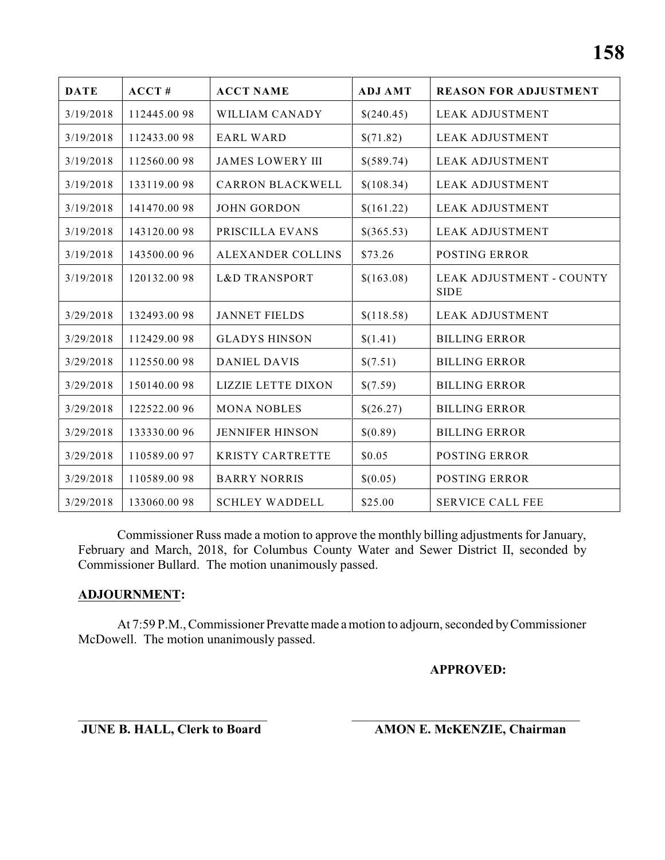| <b>DATE</b> | ACCT#        | <b>ACCT NAME</b>          | <b>ADJ AMT</b> | <b>REASON FOR ADJUSTMENT</b>            |
|-------------|--------------|---------------------------|----------------|-----------------------------------------|
| 3/19/2018   | 112445.0098  | WILLIAM CANADY            | \$(240.45)     | <b>LEAK ADJUSTMENT</b>                  |
| 3/19/2018   | 112433.0098  | <b>EARL WARD</b>          | \$(71.82)      | <b>LEAK ADJUSTMENT</b>                  |
| 3/19/2018   | 112560.0098  | <b>JAMES LOWERY III</b>   | \$(589.74)     | <b>LEAK ADJUSTMENT</b>                  |
| 3/19/2018   | 133119.0098  | <b>CARRON BLACKWELL</b>   | \$(108.34)     | <b>LEAK ADJUSTMENT</b>                  |
| 3/19/2018   | 141470.0098  | <b>JOHN GORDON</b>        | \$(161.22)     | <b>LEAK ADJUSTMENT</b>                  |
| 3/19/2018   | 143120.0098  | PRISCILLA EVANS           | \$(365.53)     | <b>LEAK ADJUSTMENT</b>                  |
| 3/19/2018   | 143500.00 96 | ALEXANDER COLLINS         | \$73.26        | <b>POSTING ERROR</b>                    |
| 3/19/2018   | 120132.0098  | <b>L&amp;D TRANSPORT</b>  | \$(163.08)     | LEAK ADJUSTMENT - COUNTY<br><b>SIDE</b> |
| 3/29/2018   | 132493.0098  | <b>JANNET FIELDS</b>      | \$(118.58)     | <b>LEAK ADJUSTMENT</b>                  |
| 3/29/2018   | 112429.0098  | <b>GLADYS HINSON</b>      | \$(1.41)       | <b>BILLING ERROR</b>                    |
| 3/29/2018   | 112550.0098  | <b>DANIEL DAVIS</b>       | \$(7.51)       | <b>BILLING ERROR</b>                    |
| 3/29/2018   | 150140.0098  | <b>LIZZIE LETTE DIXON</b> | \$(7.59)       | <b>BILLING ERROR</b>                    |
| 3/29/2018   | 122522.00 96 | <b>MONA NOBLES</b>        | \$(26.27)      | <b>BILLING ERROR</b>                    |
| 3/29/2018   | 133330.00 96 | <b>JENNIFER HINSON</b>    | \$(0.89)       | <b>BILLING ERROR</b>                    |
| 3/29/2018   | 110589.0097  | <b>KRISTY CARTRETTE</b>   | \$0.05         | <b>POSTING ERROR</b>                    |
| 3/29/2018   | 110589.0098  | <b>BARRY NORRIS</b>       | \$(0.05)       | <b>POSTING ERROR</b>                    |
| 3/29/2018   | 133060.0098  | <b>SCHLEY WADDELL</b>     | \$25.00        | <b>SERVICE CALL FEE</b>                 |

Commissioner Russ made a motion to approve the monthly billing adjustments for January, February and March, 2018, for Columbus County Water and Sewer District II, seconded by Commissioner Bullard. The motion unanimously passed.

#### **ADJOURNMENT:**

At 7:59 P.M., Commissioner Prevatte made a motion to adjourn, seconded by Commissioner McDowell. The motion unanimously passed.

#### **APPROVED:**

\_\_\_\_\_\_\_\_\_\_\_\_\_\_\_\_\_\_\_\_\_\_\_\_\_\_\_\_\_ \_\_\_\_\_\_\_\_\_\_\_\_\_\_\_\_\_\_\_\_\_\_\_\_\_\_\_\_\_\_\_\_\_\_\_ **JUNE B. HALL, Clerk to Board AMON E. McKENZIE, Chairman**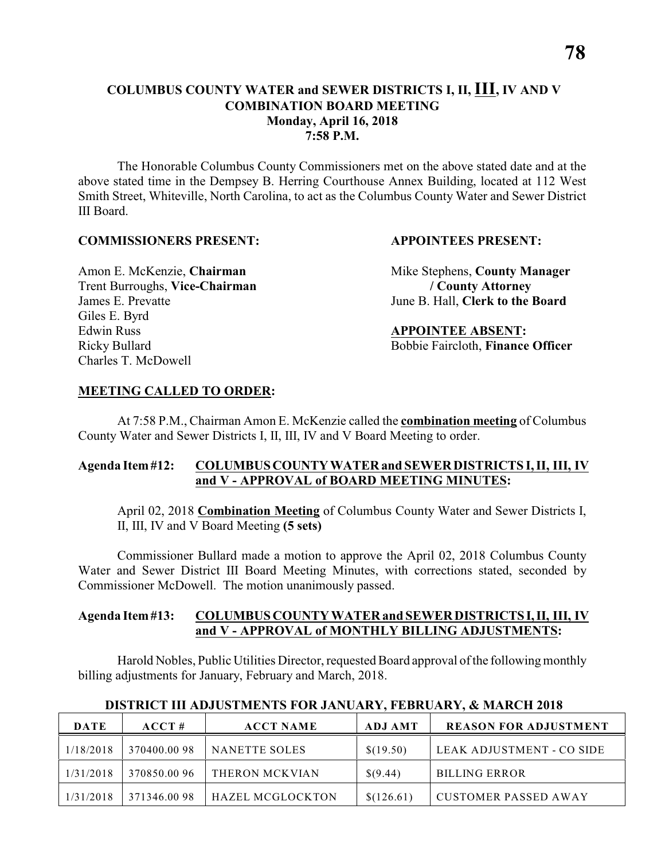#### **COLUMBUS COUNTY WATER and SEWER DISTRICTS I, II, III, IV AND V COMBINATION BOARD MEETING Monday, April 16, 2018 7:58 P.M.**

The Honorable Columbus County Commissioners met on the above stated date and at the above stated time in the Dempsey B. Herring Courthouse Annex Building, located at 112 West Smith Street, Whiteville, North Carolina, to act as the Columbus County Water and Sewer District III Board.

#### **COMMISSIONERS PRESENT: APPOINTEES PRESENT:**

Trent Burroughs, **Vice-Chairman / County Attorney** James E. Prevatte June B. Hall, **Clerk to the Board** Giles E. Byrd Edwin Russ **APPOINTEE ABSENT:** Charles T. McDowell

Amon E. McKenzie, **Chairman** Mike Stephens, **County Manager** 

Ricky Bullard Bobbie Faircloth, **Finance Officer**

#### **MEETING CALLED TO ORDER:**

At 7:58 P.M., Chairman Amon E. McKenzie called the **combination meeting** of Columbus County Water and Sewer Districts I, II, III, IV and V Board Meeting to order.

#### **Agenda Item #12: COLUMBUS COUNTY WATER and SEWER DISTRICTS I, II, III, IV and V - APPROVAL of BOARD MEETING MINUTES:**

April 02, 2018 **Combination Meeting** of Columbus County Water and Sewer Districts I, II, III, IV and V Board Meeting **(5 sets)**

Commissioner Bullard made a motion to approve the April 02, 2018 Columbus County Water and Sewer District III Board Meeting Minutes, with corrections stated, seconded by Commissioner McDowell. The motion unanimously passed.

#### **Agenda Item #13: COLUMBUS COUNTY WATER and SEWER DISTRICTS I, II, III, IV and V - APPROVAL of MONTHLY BILLING ADJUSTMENTS:**

Harold Nobles, Public Utilities Director, requested Board approval ofthe following monthly billing adjustments for January, February and March, 2018.

| <b>DATE</b> | $ACCT \#$   | <b>ACCT NAME</b> | <b>ADJ AMT</b> | <b>REASON FOR ADJUSTMENT</b> |
|-------------|-------------|------------------|----------------|------------------------------|
| 1/18/2018   | 370400.0098 | NANETTE SOLES    | \$(19.50)      | LEAK ADJUSTMENT - CO SIDE    |
| 1/31/2018   | 370850.0096 | THERON MCKVIAN   | \$(9.44)       | <b>BILLING ERROR</b>         |
| 1/31/2018   | 371346.0098 | HAZEL MCGLOCKTON | \$(126.61)     | CUSTOMER PASSED AWAY         |

#### **DISTRICT III ADJUSTMENTS FOR JANUARY, FEBRUARY, & MARCH 2018**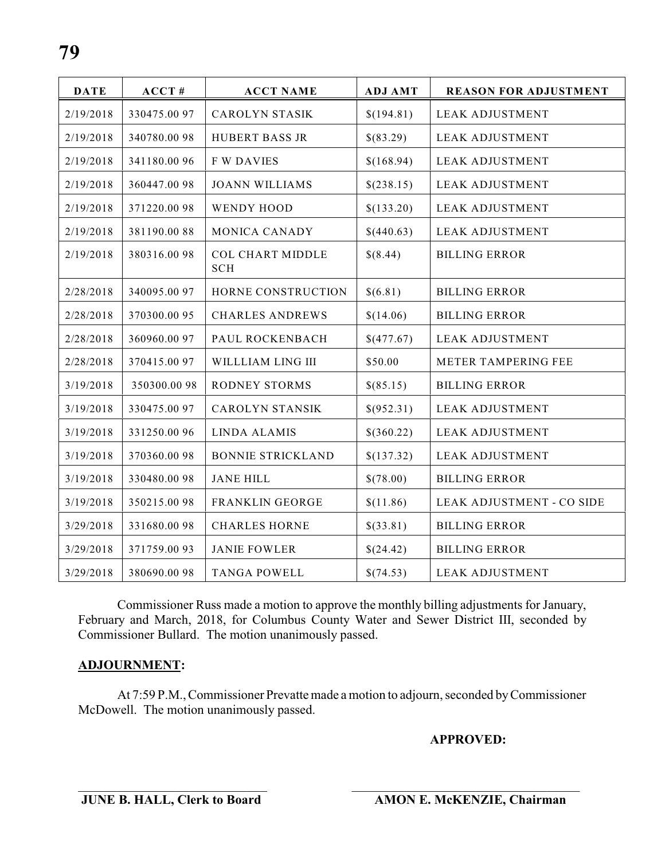| <b>DATE</b> | ACCT#        | <b>ACCT NAME</b>                      | <b>ADJ AMT</b> | <b>REASON FOR ADJUSTMENT</b> |
|-------------|--------------|---------------------------------------|----------------|------------------------------|
| 2/19/2018   | 330475.00 97 | <b>CAROLYN STASIK</b>                 | \$(194.81)     | <b>LEAK ADJUSTMENT</b>       |
| 2/19/2018   | 340780.0098  | <b>HUBERT BASS JR</b>                 | \$(83.29)      | <b>LEAK ADJUSTMENT</b>       |
| 2/19/2018   | 341180.0096  | <b>F W DAVIES</b>                     | \$(168.94)     | <b>LEAK ADJUSTMENT</b>       |
| 2/19/2018   | 360447.0098  | <b>JOANN WILLIAMS</b>                 | \$(238.15)     | <b>LEAK ADJUSTMENT</b>       |
| 2/19/2018   | 371220.0098  | WENDY HOOD                            | \$(133.20)     | <b>LEAK ADJUSTMENT</b>       |
| 2/19/2018   | 381190.0088  | MONICA CANADY                         | \$(440.63)     | <b>LEAK ADJUSTMENT</b>       |
| 2/19/2018   | 380316.0098  | <b>COL CHART MIDDLE</b><br><b>SCH</b> | \$(8.44)       | <b>BILLING ERROR</b>         |
| 2/28/2018   | 340095.0097  | HORNE CONSTRUCTION                    | \$(6.81)       | <b>BILLING ERROR</b>         |
| 2/28/2018   | 370300.0095  | <b>CHARLES ANDREWS</b>                | \$(14.06)      | <b>BILLING ERROR</b>         |
| 2/28/2018   | 360960.00 97 | PAUL ROCKENBACH                       | \$(477.67)     | <b>LEAK ADJUSTMENT</b>       |
| 2/28/2018   | 370415.0097  | WILLLIAM LING III                     | \$50.00        | METER TAMPERING FEE          |
| 3/19/2018   | 350300.0098  | <b>RODNEY STORMS</b>                  | \$(85.15)      | <b>BILLING ERROR</b>         |
| 3/19/2018   | 330475.00 97 | <b>CAROLYN STANSIK</b>                | \$(952.31)     | <b>LEAK ADJUSTMENT</b>       |
| 3/19/2018   | 331250.00 96 | <b>LINDA ALAMIS</b>                   | \$(360.22)     | <b>LEAK ADJUSTMENT</b>       |
| 3/19/2018   | 370360.0098  | <b>BONNIE STRICKLAND</b>              | \$(137.32)     | <b>LEAK ADJUSTMENT</b>       |
| 3/19/2018   | 330480.0098  | JANE HILL                             | \$(78.00)      | <b>BILLING ERROR</b>         |
| 3/19/2018   | 350215.0098  | FRANKLIN GEORGE                       | \$(11.86)      | LEAK ADJUSTMENT - CO SIDE    |
| 3/29/2018   | 331680.0098  | <b>CHARLES HORNE</b>                  | \$(33.81)      | <b>BILLING ERROR</b>         |
| 3/29/2018   | 371759.0093  | <b>JANIE FOWLER</b>                   | \$(24.42)      | <b>BILLING ERROR</b>         |
| 3/29/2018   | 380690.0098  | <b>TANGA POWELL</b>                   | \$(74.53)      | <b>LEAK ADJUSTMENT</b>       |

Commissioner Russ made a motion to approve the monthly billing adjustments for January, February and March, 2018, for Columbus County Water and Sewer District III, seconded by Commissioner Bullard. The motion unanimously passed.

#### **ADJOURNMENT:**

At 7:59 P.M., Commissioner Prevatte made a motion to adjourn, seconded by Commissioner McDowell. The motion unanimously passed.

**APPROVED:**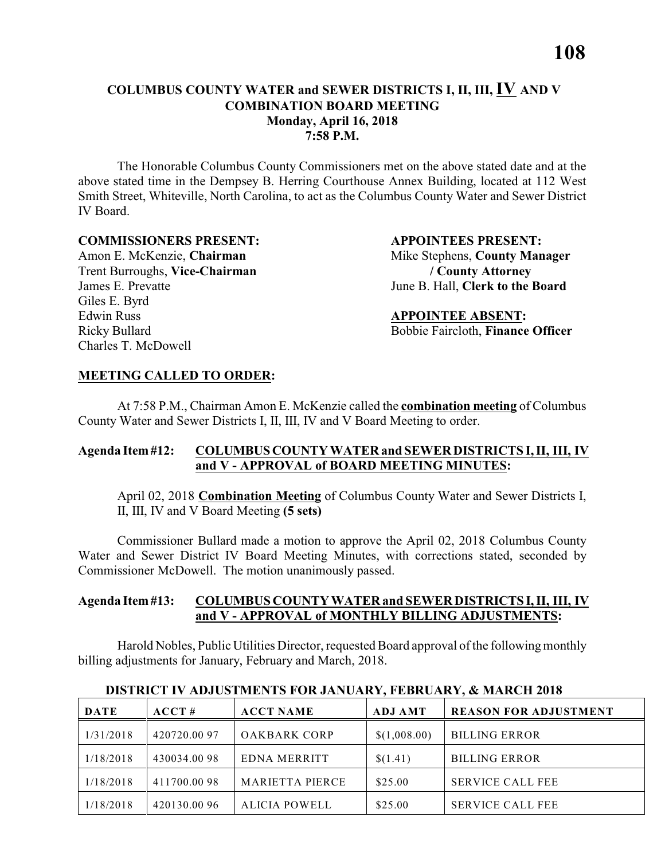The Honorable Columbus County Commissioners met on the above stated date and at the above stated time in the Dempsey B. Herring Courthouse Annex Building, located at 112 West Smith Street, Whiteville, North Carolina, to act as the Columbus County Water and Sewer District IV Board.

#### **COMMISSIONERS PRESENT: APPOINTEES PRESENT:**

Trent Burroughs, **Vice-Chairman / County Attorney** Giles E. Byrd Edwin Russ **APPOINTEE ABSENT:** Charles T. McDowell

Amon E. McKenzie, **Chairman** Mike Stephens, **County Manager** James E. Prevatte June B. Hall, **Clerk to the Board** 

Ricky Bullard Bobbie Faircloth, **Finance Officer** 

#### **MEETING CALLED TO ORDER:**

At 7:58 P.M., Chairman Amon E. McKenzie called the **combination meeting** of Columbus County Water and Sewer Districts I, II, III, IV and V Board Meeting to order.

#### **Agenda Item #12: COLUMBUS COUNTY WATER and SEWER DISTRICTS I, II, III, IV and V - APPROVAL of BOARD MEETING MINUTES:**

April 02, 2018 **Combination Meeting** of Columbus County Water and Sewer Districts I, II, III, IV and V Board Meeting **(5 sets)**

Commissioner Bullard made a motion to approve the April 02, 2018 Columbus County Water and Sewer District IV Board Meeting Minutes, with corrections stated, seconded by Commissioner McDowell. The motion unanimously passed.

#### **Agenda Item #13: COLUMBUS COUNTY WATER and SEWER DISTRICTS I, II, III, IV and V - APPROVAL of MONTHLY BILLING ADJUSTMENTS:**

Harold Nobles, Public Utilities Director, requested Board approval of the following monthly billing adjustments for January, February and March, 2018.

| <b>DATE</b> | ACCT#       | <b>ACCT NAME</b>       | <b>ADJ AMT</b> | <b>REASON FOR ADJUSTMENT</b> |
|-------------|-------------|------------------------|----------------|------------------------------|
| 1/31/2018   | 420720.0097 | <b>OAKBARK CORP</b>    | \$(1,008.00)   | <b>BILLING ERROR</b>         |
| 1/18/2018   | 430034.0098 | EDNA MERRITT           | \$(1.41)       | <b>BILLING ERROR</b>         |
| 1/18/2018   | 411700.0098 | <b>MARIETTA PIERCE</b> | \$25.00        | <b>SERVICE CALL FEE</b>      |
| 1/18/2018   | 420130.0096 | <b>ALICIA POWELL</b>   | \$25.00        | <b>SERVICE CALL FEE</b>      |

#### **DISTRICT IV ADJUSTMENTS FOR JANUARY, FEBRUARY, & MARCH 2018**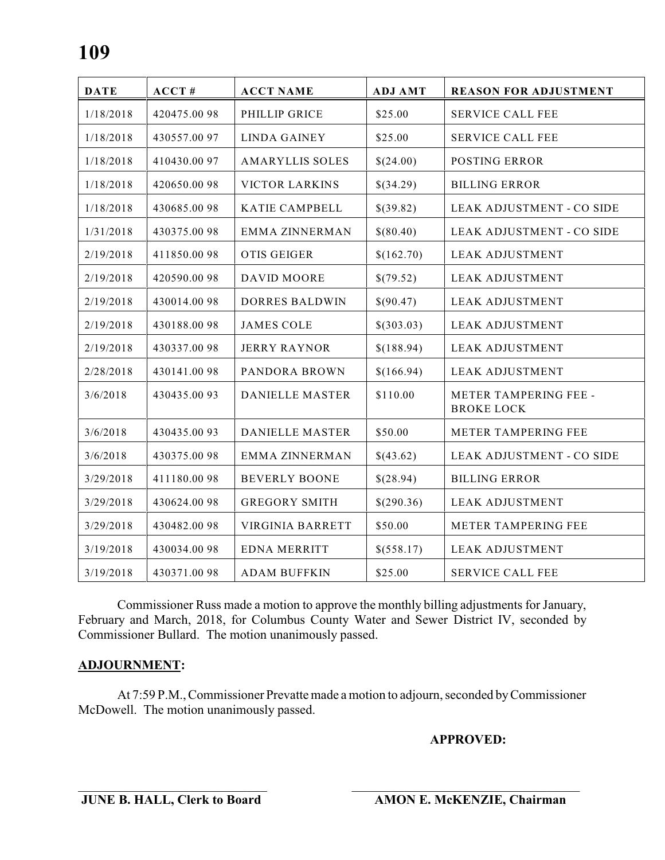| <b>DATE</b> | ACCT#       | <b>ACCT NAME</b>        | <b>ADJ AMT</b> | <b>REASON FOR ADJUSTMENT</b>               |
|-------------|-------------|-------------------------|----------------|--------------------------------------------|
| 1/18/2018   | 420475.0098 | PHILLIP GRICE           | \$25.00        | <b>SERVICE CALL FEE</b>                    |
| 1/18/2018   | 430557.0097 | <b>LINDA GAINEY</b>     | \$25.00        | <b>SERVICE CALL FEE</b>                    |
| 1/18/2018   | 410430.0097 | <b>AMARYLLIS SOLES</b>  | \$(24.00)      | <b>POSTING ERROR</b>                       |
| 1/18/2018   | 420650.0098 | <b>VICTOR LARKINS</b>   | \$(34.29)      | <b>BILLING ERROR</b>                       |
| 1/18/2018   | 430685.0098 | KATIE CAMPBELL          | \$(39.82)      | LEAK ADJUSTMENT - CO SIDE                  |
| 1/31/2018   | 430375.0098 | <b>EMMA ZINNERMAN</b>   | \$(80.40)      | LEAK ADJUSTMENT - CO SIDE                  |
| 2/19/2018   | 411850.0098 | <b>OTIS GEIGER</b>      | \$(162.70)     | <b>LEAK ADJUSTMENT</b>                     |
| 2/19/2018   | 420590.0098 | <b>DAVID MOORE</b>      | \$(79.52)      | <b>LEAK ADJUSTMENT</b>                     |
| 2/19/2018   | 430014.0098 | <b>DORRES BALDWIN</b>   | \$(90.47)      | <b>LEAK ADJUSTMENT</b>                     |
| 2/19/2018   | 430188.0098 | <b>JAMES COLE</b>       | \$(303.03)     | <b>LEAK ADJUSTMENT</b>                     |
| 2/19/2018   | 430337.0098 | <b>JERRY RAYNOR</b>     | \$(188.94)     | <b>LEAK ADJUSTMENT</b>                     |
| 2/28/2018   | 430141.0098 | PANDORA BROWN           | \$(166.94)     | <b>LEAK ADJUSTMENT</b>                     |
| 3/6/2018    | 430435.0093 | <b>DANIELLE MASTER</b>  | \$110.00       | METER TAMPERING FEE -<br><b>BROKE LOCK</b> |
| 3/6/2018    | 430435.0093 | DANIELLE MASTER         | \$50.00        | METER TAMPERING FEE                        |
| 3/6/2018    | 430375.0098 | <b>EMMA ZINNERMAN</b>   | \$(43.62)      | LEAK ADJUSTMENT - CO SIDE                  |
| 3/29/2018   | 411180.0098 | <b>BEVERLY BOONE</b>    | \$(28.94)      | <b>BILLING ERROR</b>                       |
| 3/29/2018   | 430624.0098 | <b>GREGORY SMITH</b>    | \$(290.36)     | <b>LEAK ADJUSTMENT</b>                     |
| 3/29/2018   | 430482.0098 | <b>VIRGINIA BARRETT</b> | \$50.00        | METER TAMPERING FEE                        |
| 3/19/2018   | 430034.0098 | <b>EDNA MERRITT</b>     | \$(558.17)     | <b>LEAK ADJUSTMENT</b>                     |
| 3/19/2018   | 430371.0098 | <b>ADAM BUFFKIN</b>     | \$25.00        | <b>SERVICE CALL FEE</b>                    |

Commissioner Russ made a motion to approve the monthly billing adjustments for January, February and March, 2018, for Columbus County Water and Sewer District IV, seconded by Commissioner Bullard. The motion unanimously passed.

#### **ADJOURNMENT:**

At 7:59 P.M., Commissioner Prevatte made a motion to adjourn, seconded by Commissioner McDowell. The motion unanimously passed.

**APPROVED:**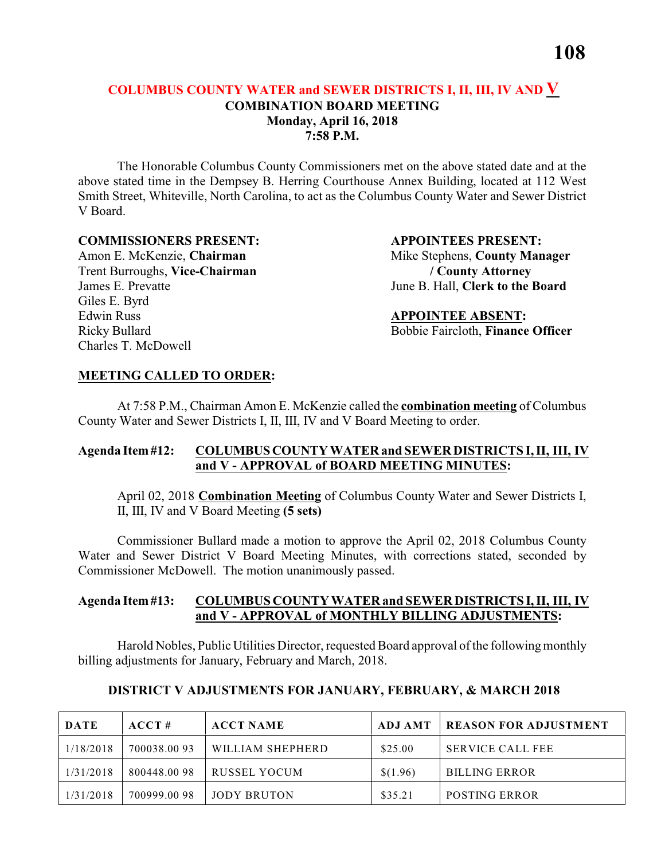#### **COLUMBUS COUNTY WATER and SEWER DISTRICTS I, II, III, IV AND V COMBINATION BOARD MEETING Monday, April 16, 2018 7:58 P.M.**

The Honorable Columbus County Commissioners met on the above stated date and at the above stated time in the Dempsey B. Herring Courthouse Annex Building, located at 112 West Smith Street, Whiteville, North Carolina, to act as the Columbus County Water and Sewer District V Board.

#### **COMMISSIONERS PRESENT: APPOINTEES PRESENT:**

Trent Burroughs, **Vice-Chairman / County Attorney** Giles E. Byrd Edwin Russ **APPOINTEE ABSENT:** Charles T. McDowell

Amon E. McKenzie, **Chairman** Mike Stephens, **County Manager** James E. Prevatte June B. Hall, **Clerk to the Board** 

Ricky Bullard Bobbie Faircloth, **Finance Officer** 

#### **MEETING CALLED TO ORDER:**

At 7:58 P.M., Chairman Amon E. McKenzie called the **combination meeting** of Columbus County Water and Sewer Districts I, II, III, IV and V Board Meeting to order.

#### **Agenda Item #12: COLUMBUS COUNTY WATER and SEWER DISTRICTS I, II, III, IV and V - APPROVAL of BOARD MEETING MINUTES:**

April 02, 2018 **Combination Meeting** of Columbus County Water and Sewer Districts I, II, III, IV and V Board Meeting **(5 sets)**

Commissioner Bullard made a motion to approve the April 02, 2018 Columbus County Water and Sewer District V Board Meeting Minutes, with corrections stated, seconded by Commissioner McDowell. The motion unanimously passed.

#### **Agenda Item #13: COLUMBUS COUNTY WATER and SEWER DISTRICTS I, II, III, IV and V - APPROVAL of MONTHLY BILLING ADJUSTMENTS:**

Harold Nobles, Public Utilities Director, requested Board approval of the following monthly billing adjustments for January, February and March, 2018.

| DATE      | ACCT#       | <b>ACCT NAME</b> | ADJ AMT  | <b>REASON FOR ADJUSTMENT</b> |
|-----------|-------------|------------------|----------|------------------------------|
| 1/18/2018 | 700038.0093 | WILLIAM SHEPHERD | \$25.00  | <b>SERVICE CALL FEE</b>      |
| 1/31/2018 | 800448.0098 | RUSSEL YOCUM     | \$(1.96) | <b>BILLING ERROR</b>         |
| 1/31/2018 | 700999.0098 | JODY BRUTON      | \$35.21  | <b>POSTING ERROR</b>         |

#### **DISTRICT V ADJUSTMENTS FOR JANUARY, FEBRUARY, & MARCH 2018**